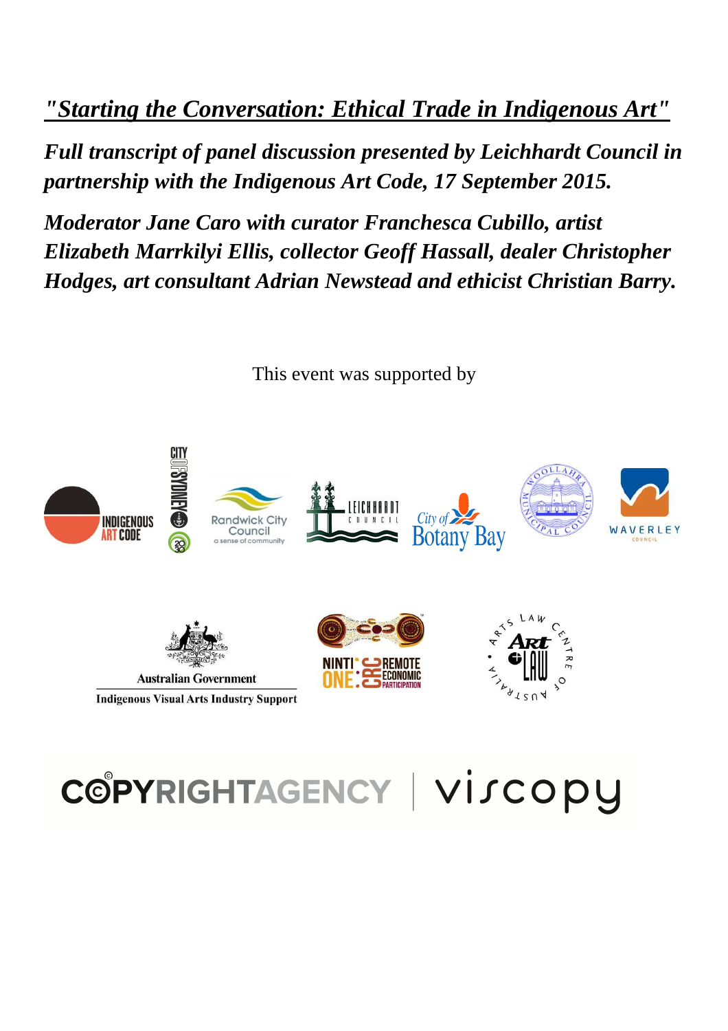*"Starting the Conversation: Ethical Trade in Indigenous Art"* 

*Full transcript of panel discussion presented by Leichhardt Council in partnership with the Indigenous Art Code, 17 September 2015.* 

*Moderator Jane Caro with curator Franchesca Cubillo, artist Elizabeth Marrkilyi Ellis, collector Geoff Hassall, dealer Christopher Hodges, art consultant Adrian Newstead and ethicist Christian Barry.*



This event was supported by

# COPYRIGHTAGENCY | VISCOPY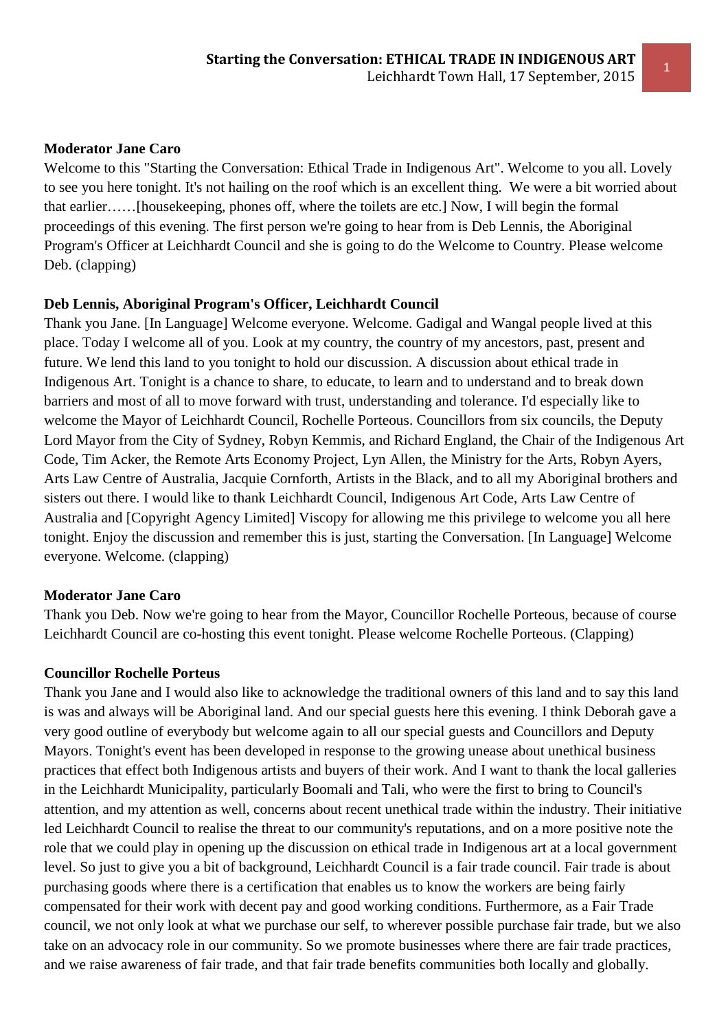# **Moderator Jane Caro**

Welcome to this "Starting the Conversation: Ethical Trade in Indigenous Art". Welcome to you all. Lovely to see you here tonight. It's not hailing on the roof which is an excellent thing. We were a bit worried about that earlier……[housekeeping, phones off, where the toilets are etc.] Now, I will begin the formal proceedings of this evening. The first person we're going to hear from is Deb Lennis, the Aboriginal Program's Officer at Leichhardt Council and she is going to do the Welcome to Country. Please welcome Deb. (clapping)

# **Deb Lennis, Aboriginal Program's Officer, Leichhardt Council**

Thank you Jane. [In Language] Welcome everyone. Welcome. Gadigal and Wangal people lived at this place. Today I welcome all of you. Look at my country, the country of my ancestors, past, present and future. We lend this land to you tonight to hold our discussion. A discussion about ethical trade in Indigenous Art. Tonight is a chance to share, to educate, to learn and to understand and to break down barriers and most of all to move forward with trust, understanding and tolerance. I'd especially like to welcome the Mayor of Leichhardt Council, Rochelle Porteous. Councillors from six councils, the Deputy Lord Mayor from the City of Sydney, Robyn Kemmis, and Richard England, the Chair of the Indigenous Art Code, Tim Acker, the Remote Arts Economy Project, Lyn Allen, the Ministry for the Arts, Robyn Ayers, Arts Law Centre of Australia, Jacquie Cornforth, Artists in the Black, and to all my Aboriginal brothers and sisters out there. I would like to thank Leichhardt Council, Indigenous Art Code, Arts Law Centre of Australia and [Copyright Agency Limited] Viscopy for allowing me this privilege to welcome you all here tonight. Enjoy the discussion and remember this is just, starting the Conversation. [In Language] Welcome everyone. Welcome. (clapping)

# **Moderator Jane Caro**

Thank you Deb. Now we're going to hear from the Mayor, Councillor Rochelle Porteous, because of course Leichhardt Council are co-hosting this event tonight. Please welcome Rochelle Porteous. (Clapping)

# **Councillor Rochelle Porteus**

Thank you Jane and I would also like to acknowledge the traditional owners of this land and to say this land is was and always will be Aboriginal land. And our special guests here this evening. I think Deborah gave a very good outline of everybody but welcome again to all our special guests and Councillors and Deputy Mayors. Tonight's event has been developed in response to the growing unease about unethical business practices that effect both Indigenous artists and buyers of their work. And I want to thank the local galleries in the Leichhardt Municipality, particularly Boomali and Tali, who were the first to bring to Council's attention, and my attention as well, concerns about recent unethical trade within the industry. Their initiative led Leichhardt Council to realise the threat to our community's reputations, and on a more positive note the role that we could play in opening up the discussion on ethical trade in Indigenous art at a local government level. So just to give you a bit of background, Leichhardt Council is a fair trade council. Fair trade is about purchasing goods where there is a certification that enables us to know the workers are being fairly compensated for their work with decent pay and good working conditions. Furthermore, as a Fair Trade council, we not only look at what we purchase our self, to wherever possible purchase fair trade, but we also take on an advocacy role in our community. So we promote businesses where there are fair trade practices, and we raise awareness of fair trade, and that fair trade benefits communities both locally and globally.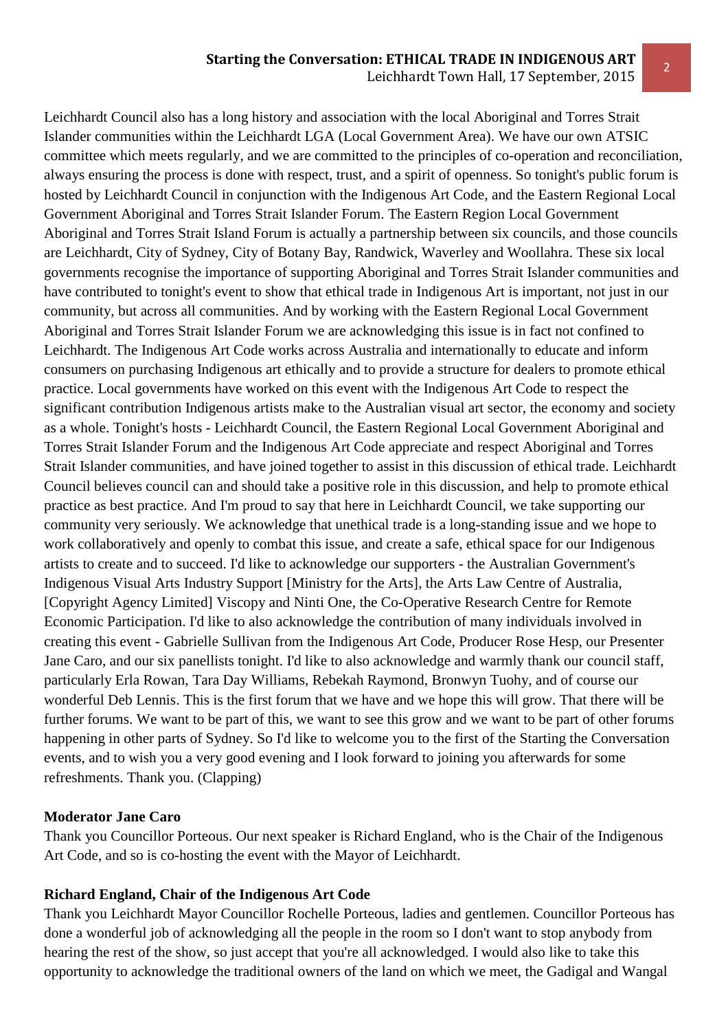#### **Starting the Conversation: ETHICAL TRADE IN INDIGENOUS ART**

2 Leichhardt Town Hall, 17 September, 2015

Leichhardt Council also has a long history and association with the local Aboriginal and Torres Strait Islander communities within the Leichhardt LGA (Local Government Area). We have our own ATSIC committee which meets regularly, and we are committed to the principles of co-operation and reconciliation, always ensuring the process is done with respect, trust, and a spirit of openness. So tonight's public forum is hosted by Leichhardt Council in conjunction with the Indigenous Art Code, and the Eastern Regional Local Government Aboriginal and Torres Strait Islander Forum. The Eastern Region Local Government Aboriginal and Torres Strait Island Forum is actually a partnership between six councils, and those councils are Leichhardt, City of Sydney, City of Botany Bay, Randwick, Waverley and Woollahra. These six local governments recognise the importance of supporting Aboriginal and Torres Strait Islander communities and have contributed to tonight's event to show that ethical trade in Indigenous Art is important, not just in our community, but across all communities. And by working with the Eastern Regional Local Government Aboriginal and Torres Strait Islander Forum we are acknowledging this issue is in fact not confined to Leichhardt. The Indigenous Art Code works across Australia and internationally to educate and inform consumers on purchasing Indigenous art ethically and to provide a structure for dealers to promote ethical practice. Local governments have worked on this event with the Indigenous Art Code to respect the significant contribution Indigenous artists make to the Australian visual art sector, the economy and society as a whole. Tonight's hosts - Leichhardt Council, the Eastern Regional Local Government Aboriginal and Torres Strait Islander Forum and the Indigenous Art Code appreciate and respect Aboriginal and Torres Strait Islander communities, and have joined together to assist in this discussion of ethical trade. Leichhardt Council believes council can and should take a positive role in this discussion, and help to promote ethical practice as best practice. And I'm proud to say that here in Leichhardt Council, we take supporting our community very seriously. We acknowledge that unethical trade is a long-standing issue and we hope to work collaboratively and openly to combat this issue, and create a safe, ethical space for our Indigenous artists to create and to succeed. I'd like to acknowledge our supporters - the Australian Government's Indigenous Visual Arts Industry Support [Ministry for the Arts], the Arts Law Centre of Australia, [Copyright Agency Limited] Viscopy and Ninti One, the Co-Operative Research Centre for Remote Economic Participation. I'd like to also acknowledge the contribution of many individuals involved in creating this event - Gabrielle Sullivan from the Indigenous Art Code, Producer Rose Hesp, our Presenter Jane Caro, and our six panellists tonight. I'd like to also acknowledge and warmly thank our council staff, particularly Erla Rowan, Tara Day Williams, Rebekah Raymond, Bronwyn Tuohy, and of course our wonderful Deb Lennis. This is the first forum that we have and we hope this will grow. That there will be further forums. We want to be part of this, we want to see this grow and we want to be part of other forums happening in other parts of Sydney. So I'd like to welcome you to the first of the Starting the Conversation events, and to wish you a very good evening and I look forward to joining you afterwards for some refreshments. Thank you. (Clapping)

#### **Moderator Jane Caro**

Thank you Councillor Porteous. Our next speaker is Richard England, who is the Chair of the Indigenous Art Code, and so is co-hosting the event with the Mayor of Leichhardt.

#### **Richard England, Chair of the Indigenous Art Code**

Thank you Leichhardt Mayor Councillor Rochelle Porteous, ladies and gentlemen. Councillor Porteous has done a wonderful job of acknowledging all the people in the room so I don't want to stop anybody from hearing the rest of the show, so just accept that you're all acknowledged. I would also like to take this opportunity to acknowledge the traditional owners of the land on which we meet, the Gadigal and Wangal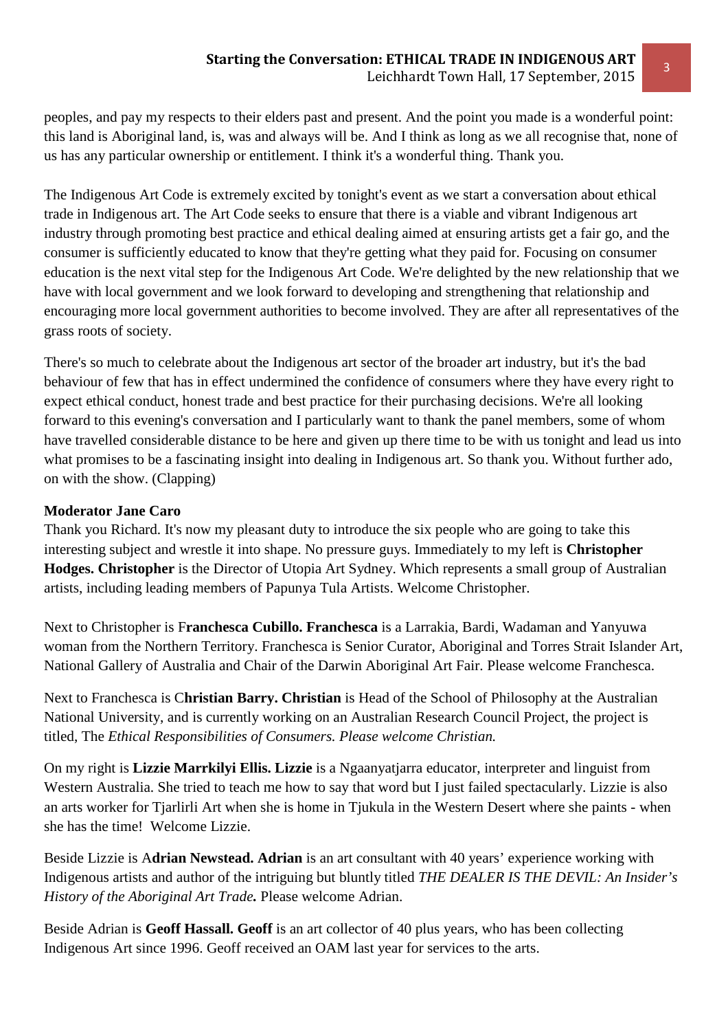peoples, and pay my respects to their elders past and present. And the point you made is a wonderful point: this land is Aboriginal land, is, was and always will be. And I think as long as we all recognise that, none of us has any particular ownership or entitlement. I think it's a wonderful thing. Thank you.

The Indigenous Art Code is extremely excited by tonight's event as we start a conversation about ethical trade in Indigenous art. The Art Code seeks to ensure that there is a viable and vibrant Indigenous art industry through promoting best practice and ethical dealing aimed at ensuring artists get a fair go, and the consumer is sufficiently educated to know that they're getting what they paid for. Focusing on consumer education is the next vital step for the Indigenous Art Code. We're delighted by the new relationship that we have with local government and we look forward to developing and strengthening that relationship and encouraging more local government authorities to become involved. They are after all representatives of the grass roots of society.

There's so much to celebrate about the Indigenous art sector of the broader art industry, but it's the bad behaviour of few that has in effect undermined the confidence of consumers where they have every right to expect ethical conduct, honest trade and best practice for their purchasing decisions. We're all looking forward to this evening's conversation and I particularly want to thank the panel members, some of whom have travelled considerable distance to be here and given up there time to be with us tonight and lead us into what promises to be a fascinating insight into dealing in Indigenous art. So thank you. Without further ado, on with the show. (Clapping)

## **Moderator Jane Caro**

Thank you Richard. It's now my pleasant duty to introduce the six people who are going to take this interesting subject and wrestle it into shape. No pressure guys. Immediately to my left is **Christopher Hodges. Christopher** is the Director of Utopia Art Sydney. Which represents a small group of Australian artists, including leading members of Papunya Tula Artists. Welcome Christopher.

Next to Christopher is F**ranchesca Cubillo. Franchesca** is a Larrakia, Bardi, Wadaman and Yanyuwa woman from the Northern Territory. Franchesca is Senior Curator, Aboriginal and Torres Strait Islander Art, National Gallery of Australia and Chair of the Darwin Aboriginal Art Fair. Please welcome Franchesca.

Next to Franchesca is C**hristian Barry. Christian** is Head of the School of Philosophy at the Australian National University, and is currently working on an Australian Research Council Project, the project is titled, The *Ethical Responsibilities of Consumers. Please welcome Christian.*

On my right is **Lizzie Marrkilyi Ellis. Lizzie** is a Ngaanyatjarra educator, interpreter and linguist from Western Australia. She tried to teach me how to say that word but I just failed spectacularly. Lizzie is also an arts worker for Tjarlirli Art when she is home in Tjukula in the Western Desert where she paints - when she has the time! Welcome Lizzie.

Beside Lizzie is A**drian Newstead. Adrian** is an art consultant with 40 years' experience working with Indigenous artists and author of the intriguing but bluntly titled *THE DEALER IS THE DEVIL: An Insider's History of the Aboriginal Art Trade.* Please welcome Adrian.

Beside Adrian is **Geoff Hassall. Geoff** is an art collector of 40 plus years, who has been collecting Indigenous Art since 1996. Geoff received an OAM last year for services to the arts.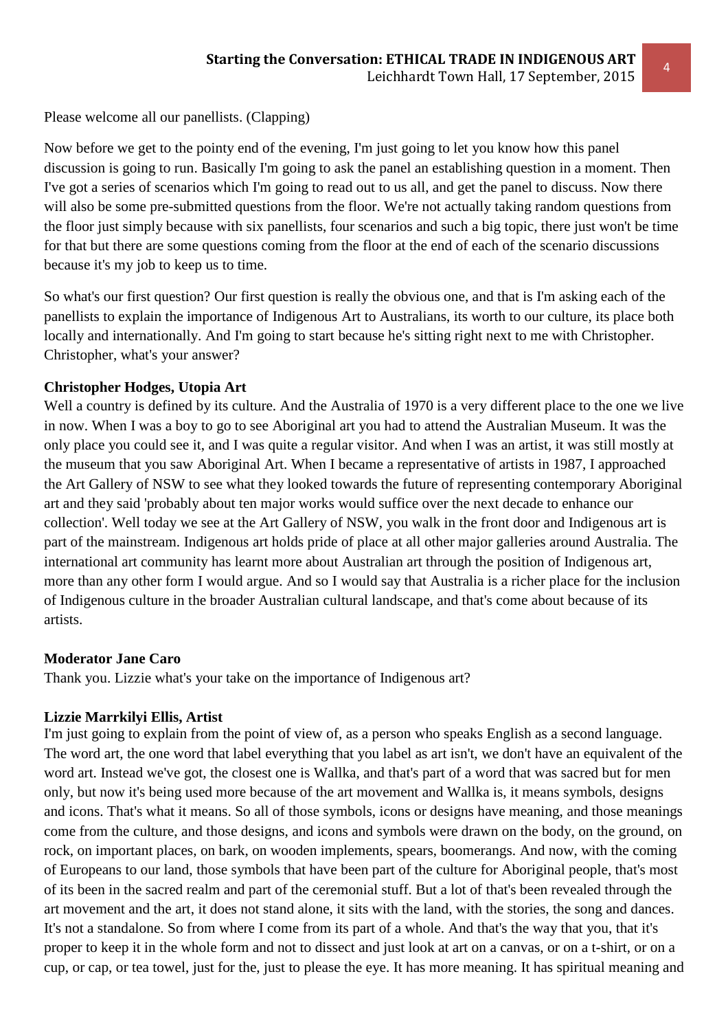Please welcome all our panellists. (Clapping)

Now before we get to the pointy end of the evening, I'm just going to let you know how this panel discussion is going to run. Basically I'm going to ask the panel an establishing question in a moment. Then I've got a series of scenarios which I'm going to read out to us all, and get the panel to discuss. Now there will also be some pre-submitted questions from the floor. We're not actually taking random questions from the floor just simply because with six panellists, four scenarios and such a big topic, there just won't be time for that but there are some questions coming from the floor at the end of each of the scenario discussions because it's my job to keep us to time.

So what's our first question? Our first question is really the obvious one, and that is I'm asking each of the panellists to explain the importance of Indigenous Art to Australians, its worth to our culture, its place both locally and internationally. And I'm going to start because he's sitting right next to me with Christopher. Christopher, what's your answer?

# **Christopher Hodges, Utopia Art**

Well a country is defined by its culture. And the Australia of 1970 is a very different place to the one we live in now. When I was a boy to go to see Aboriginal art you had to attend the Australian Museum. It was the only place you could see it, and I was quite a regular visitor. And when I was an artist, it was still mostly at the museum that you saw Aboriginal Art. When I became a representative of artists in 1987, I approached the Art Gallery of NSW to see what they looked towards the future of representing contemporary Aboriginal art and they said 'probably about ten major works would suffice over the next decade to enhance our collection'. Well today we see at the Art Gallery of NSW, you walk in the front door and Indigenous art is part of the mainstream. Indigenous art holds pride of place at all other major galleries around Australia. The international art community has learnt more about Australian art through the position of Indigenous art, more than any other form I would argue. And so I would say that Australia is a richer place for the inclusion of Indigenous culture in the broader Australian cultural landscape, and that's come about because of its artists.

#### **Moderator Jane Caro**

Thank you. Lizzie what's your take on the importance of Indigenous art?

#### **Lizzie Marrkilyi Ellis, Artist**

I'm just going to explain from the point of view of, as a person who speaks English as a second language. The word art, the one word that label everything that you label as art isn't, we don't have an equivalent of the word art. Instead we've got, the closest one is Wallka, and that's part of a word that was sacred but for men only, but now it's being used more because of the art movement and Wallka is, it means symbols, designs and icons. That's what it means. So all of those symbols, icons or designs have meaning, and those meanings come from the culture, and those designs, and icons and symbols were drawn on the body, on the ground, on rock, on important places, on bark, on wooden implements, spears, boomerangs. And now, with the coming of Europeans to our land, those symbols that have been part of the culture for Aboriginal people, that's most of its been in the sacred realm and part of the ceremonial stuff. But a lot of that's been revealed through the art movement and the art, it does not stand alone, it sits with the land, with the stories, the song and dances. It's not a standalone. So from where I come from its part of a whole. And that's the way that you, that it's proper to keep it in the whole form and not to dissect and just look at art on a canvas, or on a t-shirt, or on a cup, or cap, or tea towel, just for the, just to please the eye. It has more meaning. It has spiritual meaning and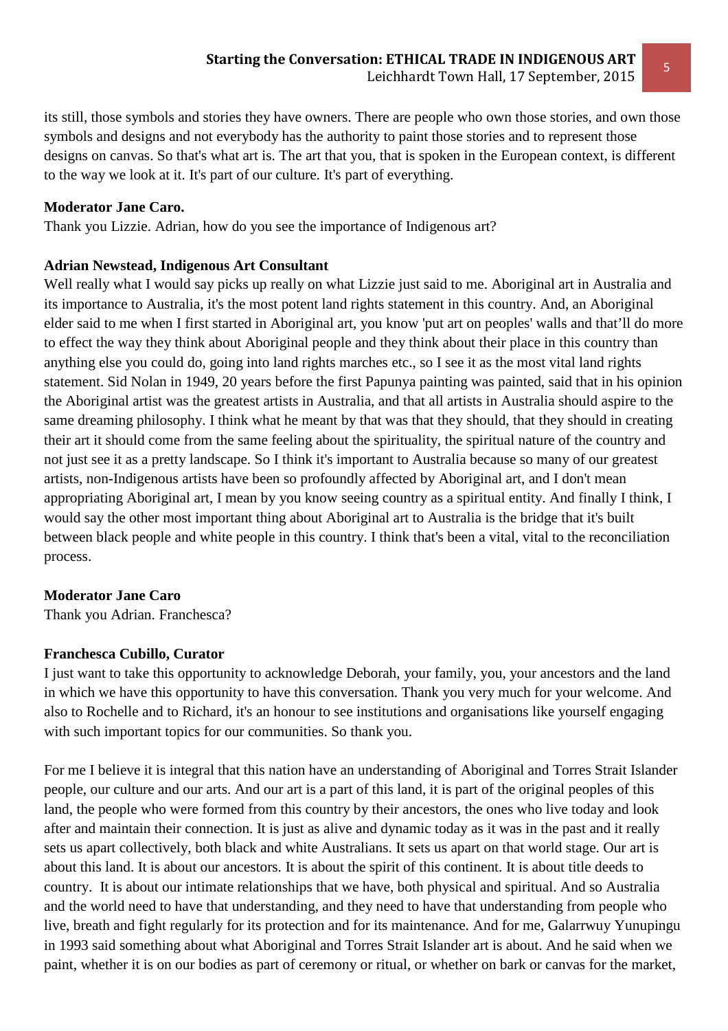its still, those symbols and stories they have owners. There are people who own those stories, and own those symbols and designs and not everybody has the authority to paint those stories and to represent those designs on canvas. So that's what art is. The art that you, that is spoken in the European context, is different to the way we look at it. It's part of our culture. It's part of everything.

## **Moderator Jane Caro.**

Thank you Lizzie. Adrian, how do you see the importance of Indigenous art?

## **Adrian Newstead, Indigenous Art Consultant**

Well really what I would say picks up really on what Lizzie just said to me. Aboriginal art in Australia and its importance to Australia, it's the most potent land rights statement in this country. And, an Aboriginal elder said to me when I first started in Aboriginal art, you know 'put art on peoples' walls and that'll do more to effect the way they think about Aboriginal people and they think about their place in this country than anything else you could do, going into land rights marches etc., so I see it as the most vital land rights statement. Sid Nolan in 1949, 20 years before the first Papunya painting was painted, said that in his opinion the Aboriginal artist was the greatest artists in Australia, and that all artists in Australia should aspire to the same dreaming philosophy. I think what he meant by that was that they should, that they should in creating their art it should come from the same feeling about the spirituality, the spiritual nature of the country and not just see it as a pretty landscape. So I think it's important to Australia because so many of our greatest artists, non-Indigenous artists have been so profoundly affected by Aboriginal art, and I don't mean appropriating Aboriginal art, I mean by you know seeing country as a spiritual entity. And finally I think, I would say the other most important thing about Aboriginal art to Australia is the bridge that it's built between black people and white people in this country. I think that's been a vital, vital to the reconciliation process.

#### **Moderator Jane Caro**

Thank you Adrian. Franchesca?

# **Franchesca Cubillo, Curator**

I just want to take this opportunity to acknowledge Deborah, your family, you, your ancestors and the land in which we have this opportunity to have this conversation. Thank you very much for your welcome. And also to Rochelle and to Richard, it's an honour to see institutions and organisations like yourself engaging with such important topics for our communities. So thank you.

For me I believe it is integral that this nation have an understanding of Aboriginal and Torres Strait Islander people, our culture and our arts. And our art is a part of this land, it is part of the original peoples of this land, the people who were formed from this country by their ancestors, the ones who live today and look after and maintain their connection. It is just as alive and dynamic today as it was in the past and it really sets us apart collectively, both black and white Australians. It sets us apart on that world stage. Our art is about this land. It is about our ancestors. It is about the spirit of this continent. It is about title deeds to country. It is about our intimate relationships that we have, both physical and spiritual. And so Australia and the world need to have that understanding, and they need to have that understanding from people who live, breath and fight regularly for its protection and for its maintenance. And for me, Galarrwuy Yunupingu in 1993 said something about what Aboriginal and Torres Strait Islander art is about. And he said when we paint, whether it is on our bodies as part of ceremony or ritual, or whether on bark or canvas for the market,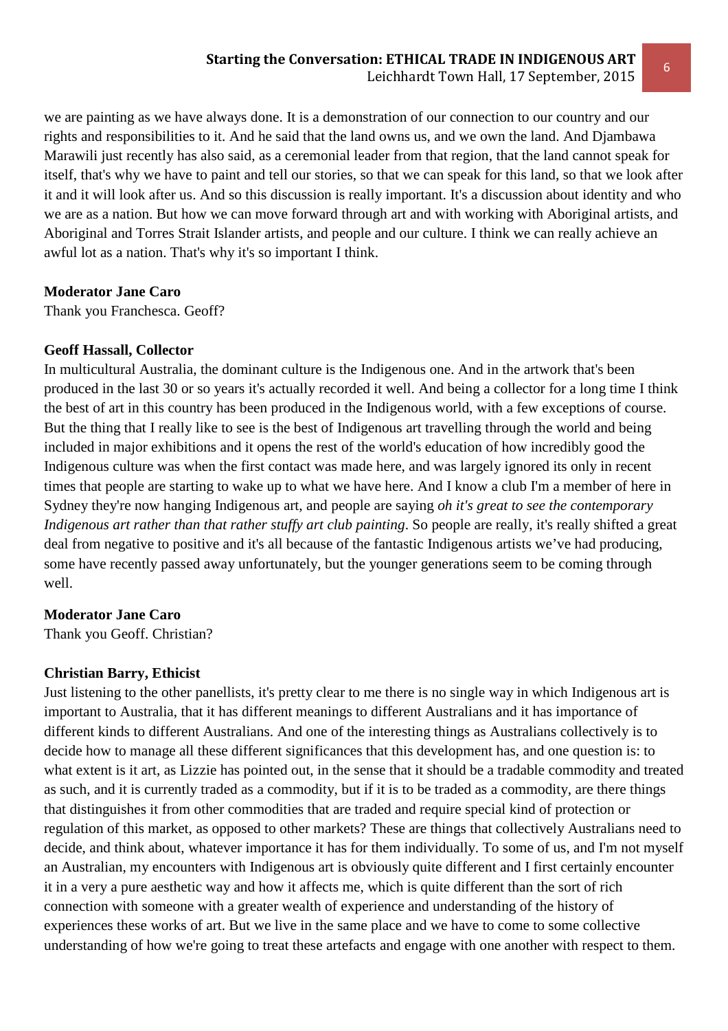we are painting as we have always done. It is a demonstration of our connection to our country and our rights and responsibilities to it. And he said that the land owns us, and we own the land. And Djambawa Marawili just recently has also said, as a ceremonial leader from that region, that the land cannot speak for itself, that's why we have to paint and tell our stories, so that we can speak for this land, so that we look after it and it will look after us. And so this discussion is really important. It's a discussion about identity and who we are as a nation. But how we can move forward through art and with working with Aboriginal artists, and Aboriginal and Torres Strait Islander artists, and people and our culture. I think we can really achieve an awful lot as a nation. That's why it's so important I think.

#### **Moderator Jane Caro**

Thank you Franchesca. Geoff?

#### **Geoff Hassall, Collector**

In multicultural Australia, the dominant culture is the Indigenous one. And in the artwork that's been produced in the last 30 or so years it's actually recorded it well. And being a collector for a long time I think the best of art in this country has been produced in the Indigenous world, with a few exceptions of course. But the thing that I really like to see is the best of Indigenous art travelling through the world and being included in major exhibitions and it opens the rest of the world's education of how incredibly good the Indigenous culture was when the first contact was made here, and was largely ignored its only in recent times that people are starting to wake up to what we have here. And I know a club I'm a member of here in Sydney they're now hanging Indigenous art, and people are saying *oh it's great to see the contemporary Indigenous art rather than that rather stuffy art club painting*. So people are really, it's really shifted a great deal from negative to positive and it's all because of the fantastic Indigenous artists we've had producing, some have recently passed away unfortunately, but the younger generations seem to be coming through well.

#### **Moderator Jane Caro**

Thank you Geoff. Christian?

#### **Christian Barry, Ethicist**

Just listening to the other panellists, it's pretty clear to me there is no single way in which Indigenous art is important to Australia, that it has different meanings to different Australians and it has importance of different kinds to different Australians. And one of the interesting things as Australians collectively is to decide how to manage all these different significances that this development has, and one question is: to what extent is it art, as Lizzie has pointed out, in the sense that it should be a tradable commodity and treated as such, and it is currently traded as a commodity, but if it is to be traded as a commodity, are there things that distinguishes it from other commodities that are traded and require special kind of protection or regulation of this market, as opposed to other markets? These are things that collectively Australians need to decide, and think about, whatever importance it has for them individually. To some of us, and I'm not myself an Australian, my encounters with Indigenous art is obviously quite different and I first certainly encounter it in a very a pure aesthetic way and how it affects me, which is quite different than the sort of rich connection with someone with a greater wealth of experience and understanding of the history of experiences these works of art. But we live in the same place and we have to come to some collective understanding of how we're going to treat these artefacts and engage with one another with respect to them.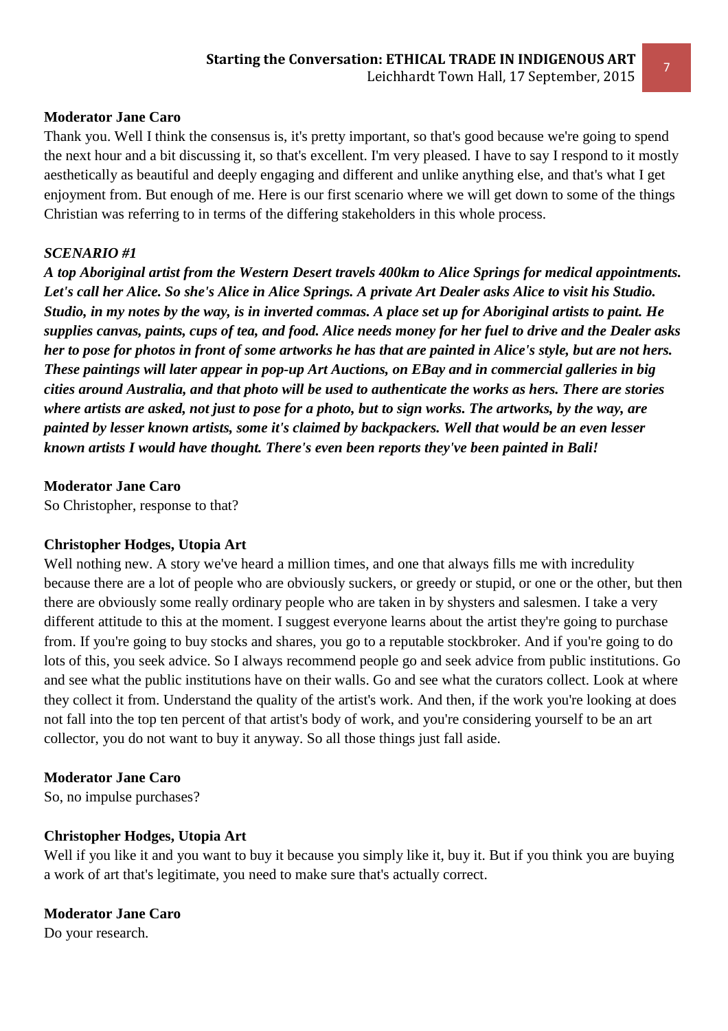## **Moderator Jane Caro**

Thank you. Well I think the consensus is, it's pretty important, so that's good because we're going to spend the next hour and a bit discussing it, so that's excellent. I'm very pleased. I have to say I respond to it mostly aesthetically as beautiful and deeply engaging and different and unlike anything else, and that's what I get enjoyment from. But enough of me. Here is our first scenario where we will get down to some of the things Christian was referring to in terms of the differing stakeholders in this whole process.

## *SCENARIO #1*

*A top Aboriginal artist from the Western Desert travels 400km to Alice Springs for medical appointments. Let's call her Alice. So she's Alice in Alice Springs. A private Art Dealer asks Alice to visit his Studio. Studio, in my notes by the way, is in inverted commas. A place set up for Aboriginal artists to paint. He supplies canvas, paints, cups of tea, and food. Alice needs money for her fuel to drive and the Dealer asks her to pose for photos in front of some artworks he has that are painted in Alice's style, but are not hers. These paintings will later appear in pop-up Art Auctions, on EBay and in commercial galleries in big cities around Australia, and that photo will be used to authenticate the works as hers. There are stories where artists are asked, not just to pose for a photo, but to sign works. The artworks, by the way, are painted by lesser known artists, some it's claimed by backpackers. Well that would be an even lesser known artists I would have thought. There's even been reports they've been painted in Bali!* 

## **Moderator Jane Caro**

So Christopher, response to that?

# **Christopher Hodges, Utopia Art**

Well nothing new. A story we've heard a million times, and one that always fills me with incredulity because there are a lot of people who are obviously suckers, or greedy or stupid, or one or the other, but then there are obviously some really ordinary people who are taken in by shysters and salesmen. I take a very different attitude to this at the moment. I suggest everyone learns about the artist they're going to purchase from. If you're going to buy stocks and shares, you go to a reputable stockbroker. And if you're going to do lots of this, you seek advice. So I always recommend people go and seek advice from public institutions. Go and see what the public institutions have on their walls. Go and see what the curators collect. Look at where they collect it from. Understand the quality of the artist's work. And then, if the work you're looking at does not fall into the top ten percent of that artist's body of work, and you're considering yourself to be an art collector, you do not want to buy it anyway. So all those things just fall aside.

#### **Moderator Jane Caro**

So, no impulse purchases?

#### **Christopher Hodges, Utopia Art**

Well if you like it and you want to buy it because you simply like it, buy it. But if you think you are buying a work of art that's legitimate, you need to make sure that's actually correct.

#### **Moderator Jane Caro**

Do your research.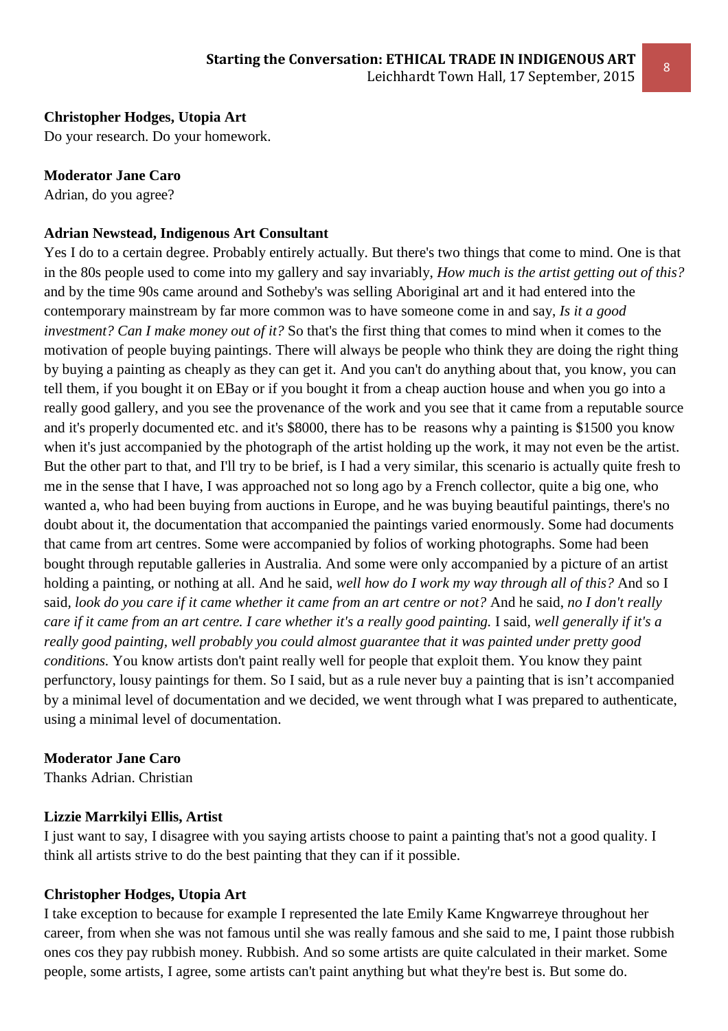# **Christopher Hodges, Utopia Art**

Do your research. Do your homework.

#### **Moderator Jane Caro**

Adrian, do you agree?

#### **Adrian Newstead, Indigenous Art Consultant**

Yes I do to a certain degree. Probably entirely actually. But there's two things that come to mind. One is that in the 80s people used to come into my gallery and say invariably, *How much is the artist getting out of this?* and by the time 90s came around and Sotheby's was selling Aboriginal art and it had entered into the contemporary mainstream by far more common was to have someone come in and say, *Is it a good investment? Can I make money out of it?* So that's the first thing that comes to mind when it comes to the motivation of people buying paintings. There will always be people who think they are doing the right thing by buying a painting as cheaply as they can get it. And you can't do anything about that, you know, you can tell them, if you bought it on EBay or if you bought it from a cheap auction house and when you go into a really good gallery, and you see the provenance of the work and you see that it came from a reputable source and it's properly documented etc. and it's \$8000, there has to be reasons why a painting is \$1500 you know when it's just accompanied by the photograph of the artist holding up the work, it may not even be the artist. But the other part to that, and I'll try to be brief, is I had a very similar, this scenario is actually quite fresh to me in the sense that I have, I was approached not so long ago by a French collector, quite a big one, who wanted a, who had been buying from auctions in Europe, and he was buying beautiful paintings, there's no doubt about it, the documentation that accompanied the paintings varied enormously. Some had documents that came from art centres. Some were accompanied by folios of working photographs. Some had been bought through reputable galleries in Australia. And some were only accompanied by a picture of an artist holding a painting, or nothing at all. And he said, *well how do I work my way through all of this?* And so I said*, look do you care if it came whether it came from an art centre or not?* And he said, *no I don't really care if it came from an art centre. I care whether it's a really good painting.* I said*, well generally if it's a really good painting, well probably you could almost guarantee that it was painted under pretty good conditions.* You know artists don't paint really well for people that exploit them. You know they paint perfunctory, lousy paintings for them. So I said, but as a rule never buy a painting that is isn't accompanied by a minimal level of documentation and we decided, we went through what I was prepared to authenticate, using a minimal level of documentation.

#### **Moderator Jane Caro**

Thanks Adrian. Christian

#### **Lizzie Marrkilyi Ellis, Artist**

I just want to say, I disagree with you saying artists choose to paint a painting that's not a good quality. I think all artists strive to do the best painting that they can if it possible.

#### **Christopher Hodges, Utopia Art**

I take exception to because for example I represented the late Emily Kame Kngwarreye throughout her career, from when she was not famous until she was really famous and she said to me, I paint those rubbish ones cos they pay rubbish money. Rubbish. And so some artists are quite calculated in their market. Some people, some artists, I agree, some artists can't paint anything but what they're best is. But some do.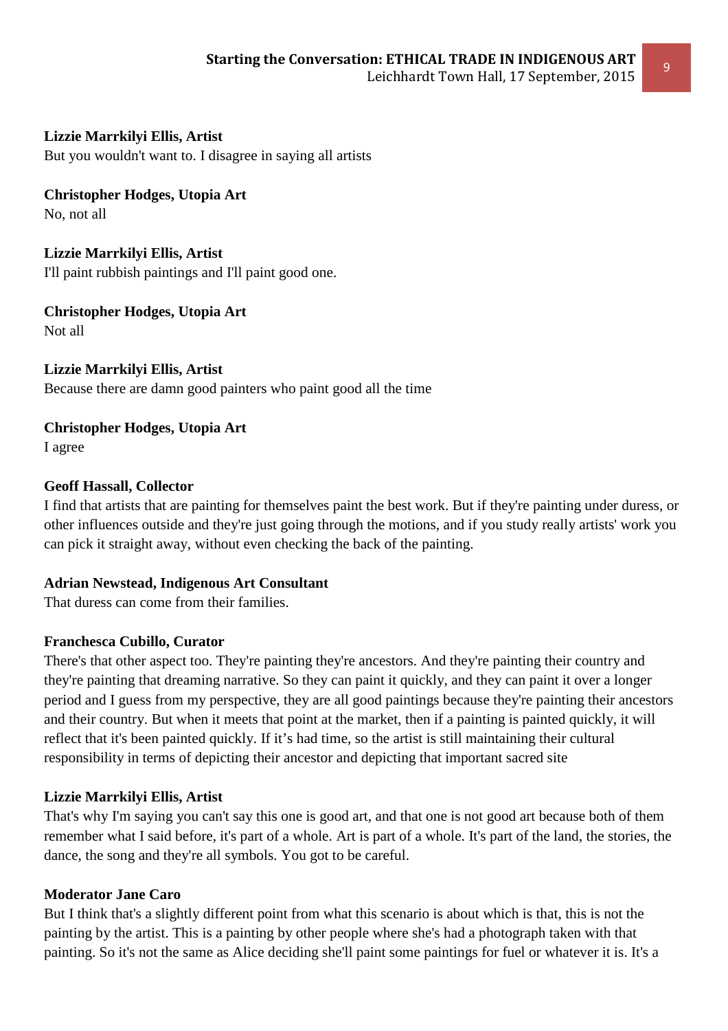# **Lizzie Marrkilyi Ellis, Artist**

But you wouldn't want to. I disagree in saying all artists

**Christopher Hodges, Utopia Art**  No, not all

**Lizzie Marrkilyi Ellis, Artist**  I'll paint rubbish paintings and I'll paint good one.

**Christopher Hodges, Utopia Art**  Not all

**Lizzie Marrkilyi Ellis, Artist**  Because there are damn good painters who paint good all the time

**Christopher Hodges, Utopia Art**  I agree

# **Geoff Hassall, Collector**

I find that artists that are painting for themselves paint the best work. But if they're painting under duress, or other influences outside and they're just going through the motions, and if you study really artists' work you can pick it straight away, without even checking the back of the painting.

#### **Adrian Newstead, Indigenous Art Consultant**

That duress can come from their families.

#### **Franchesca Cubillo, Curator**

There's that other aspect too. They're painting they're ancestors. And they're painting their country and they're painting that dreaming narrative. So they can paint it quickly, and they can paint it over a longer period and I guess from my perspective, they are all good paintings because they're painting their ancestors and their country. But when it meets that point at the market, then if a painting is painted quickly, it will reflect that it's been painted quickly. If it's had time, so the artist is still maintaining their cultural responsibility in terms of depicting their ancestor and depicting that important sacred site

# **Lizzie Marrkilyi Ellis, Artist**

That's why I'm saying you can't say this one is good art, and that one is not good art because both of them remember what I said before, it's part of a whole. Art is part of a whole. It's part of the land, the stories, the dance, the song and they're all symbols. You got to be careful.

#### **Moderator Jane Caro**

But I think that's a slightly different point from what this scenario is about which is that, this is not the painting by the artist. This is a painting by other people where she's had a photograph taken with that painting. So it's not the same as Alice deciding she'll paint some paintings for fuel or whatever it is. It's a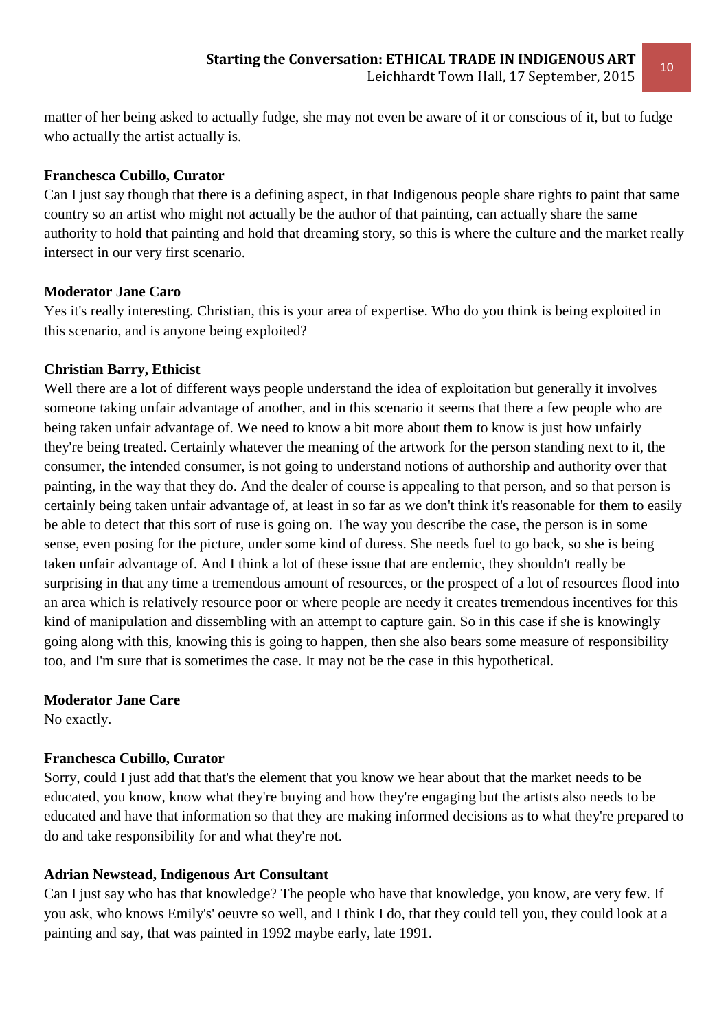matter of her being asked to actually fudge, she may not even be aware of it or conscious of it, but to fudge who actually the artist actually is.

#### **Franchesca Cubillo, Curator**

Can I just say though that there is a defining aspect, in that Indigenous people share rights to paint that same country so an artist who might not actually be the author of that painting, can actually share the same authority to hold that painting and hold that dreaming story, so this is where the culture and the market really intersect in our very first scenario.

## **Moderator Jane Caro**

Yes it's really interesting. Christian, this is your area of expertise. Who do you think is being exploited in this scenario, and is anyone being exploited?

## **Christian Barry, Ethicist**

Well there are a lot of different ways people understand the idea of exploitation but generally it involves someone taking unfair advantage of another, and in this scenario it seems that there a few people who are being taken unfair advantage of. We need to know a bit more about them to know is just how unfairly they're being treated. Certainly whatever the meaning of the artwork for the person standing next to it, the consumer, the intended consumer, is not going to understand notions of authorship and authority over that painting, in the way that they do. And the dealer of course is appealing to that person, and so that person is certainly being taken unfair advantage of, at least in so far as we don't think it's reasonable for them to easily be able to detect that this sort of ruse is going on. The way you describe the case, the person is in some sense, even posing for the picture, under some kind of duress. She needs fuel to go back, so she is being taken unfair advantage of. And I think a lot of these issue that are endemic, they shouldn't really be surprising in that any time a tremendous amount of resources, or the prospect of a lot of resources flood into an area which is relatively resource poor or where people are needy it creates tremendous incentives for this kind of manipulation and dissembling with an attempt to capture gain. So in this case if she is knowingly going along with this, knowing this is going to happen, then she also bears some measure of responsibility too, and I'm sure that is sometimes the case. It may not be the case in this hypothetical.

#### **Moderator Jane Care**

No exactly.

# **Franchesca Cubillo, Curator**

Sorry, could I just add that that's the element that you know we hear about that the market needs to be educated, you know, know what they're buying and how they're engaging but the artists also needs to be educated and have that information so that they are making informed decisions as to what they're prepared to do and take responsibility for and what they're not.

# **Adrian Newstead, Indigenous Art Consultant**

Can I just say who has that knowledge? The people who have that knowledge, you know, are very few. If you ask, who knows Emily's' oeuvre so well, and I think I do, that they could tell you, they could look at a painting and say, that was painted in 1992 maybe early, late 1991.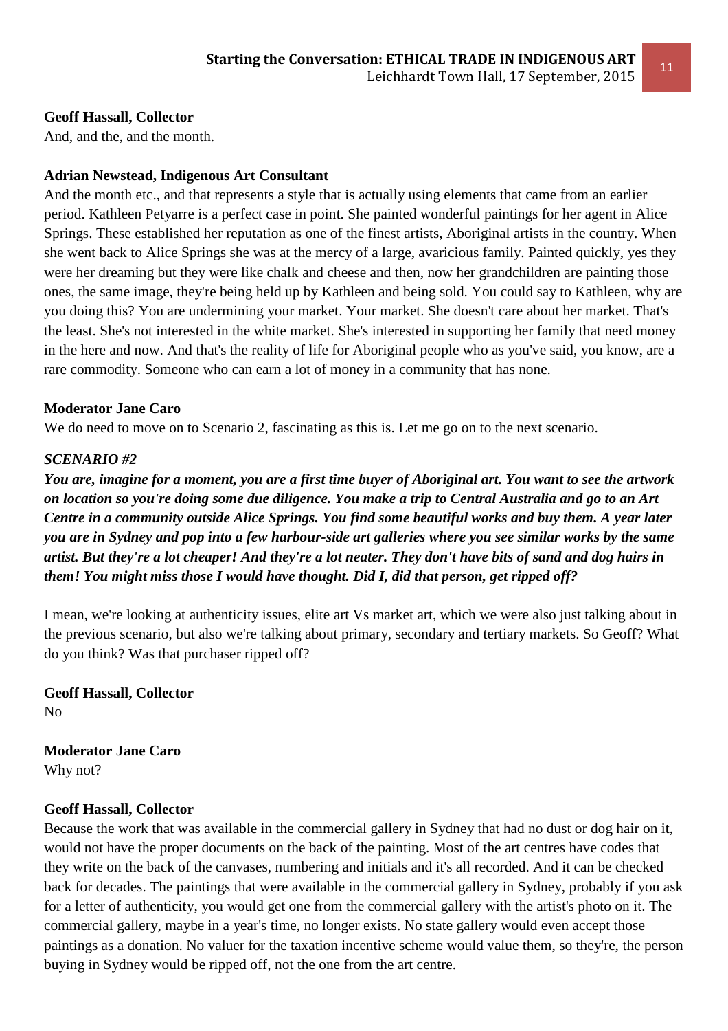# **Geoff Hassall, Collector**

And, and the, and the month.

# **Adrian Newstead, Indigenous Art Consultant**

And the month etc., and that represents a style that is actually using elements that came from an earlier period. Kathleen Petyarre is a perfect case in point. She painted wonderful paintings for her agent in Alice Springs. These established her reputation as one of the finest artists, Aboriginal artists in the country. When she went back to Alice Springs she was at the mercy of a large, avaricious family. Painted quickly, yes they were her dreaming but they were like chalk and cheese and then, now her grandchildren are painting those ones, the same image, they're being held up by Kathleen and being sold. You could say to Kathleen, why are you doing this? You are undermining your market. Your market. She doesn't care about her market. That's the least. She's not interested in the white market. She's interested in supporting her family that need money in the here and now. And that's the reality of life for Aboriginal people who as you've said, you know, are a rare commodity. Someone who can earn a lot of money in a community that has none.

## **Moderator Jane Caro**

We do need to move on to Scenario 2, fascinating as this is. Let me go on to the next scenario.

## *SCENARIO #2*

*You are, imagine for a moment, you are a first time buyer of Aboriginal art. You want to see the artwork on location so you're doing some due diligence. You make a trip to Central Australia and go to an Art Centre in a community outside Alice Springs. You find some beautiful works and buy them. A year later you are in Sydney and pop into a few harbour-side art galleries where you see similar works by the same artist. But they're a lot cheaper! And they're a lot neater. They don't have bits of sand and dog hairs in them! You might miss those I would have thought. Did I, did that person, get ripped off?* 

I mean, we're looking at authenticity issues, elite art Vs market art, which we were also just talking about in the previous scenario, but also we're talking about primary, secondary and tertiary markets. So Geoff? What do you think? Was that purchaser ripped off?

**Geoff Hassall, Collector**  No

**Moderator Jane Caro**  Why not?

#### **Geoff Hassall, Collector**

Because the work that was available in the commercial gallery in Sydney that had no dust or dog hair on it, would not have the proper documents on the back of the painting. Most of the art centres have codes that they write on the back of the canvases, numbering and initials and it's all recorded. And it can be checked back for decades. The paintings that were available in the commercial gallery in Sydney, probably if you ask for a letter of authenticity, you would get one from the commercial gallery with the artist's photo on it. The commercial gallery, maybe in a year's time, no longer exists. No state gallery would even accept those paintings as a donation. No valuer for the taxation incentive scheme would value them, so they're, the person buying in Sydney would be ripped off, not the one from the art centre.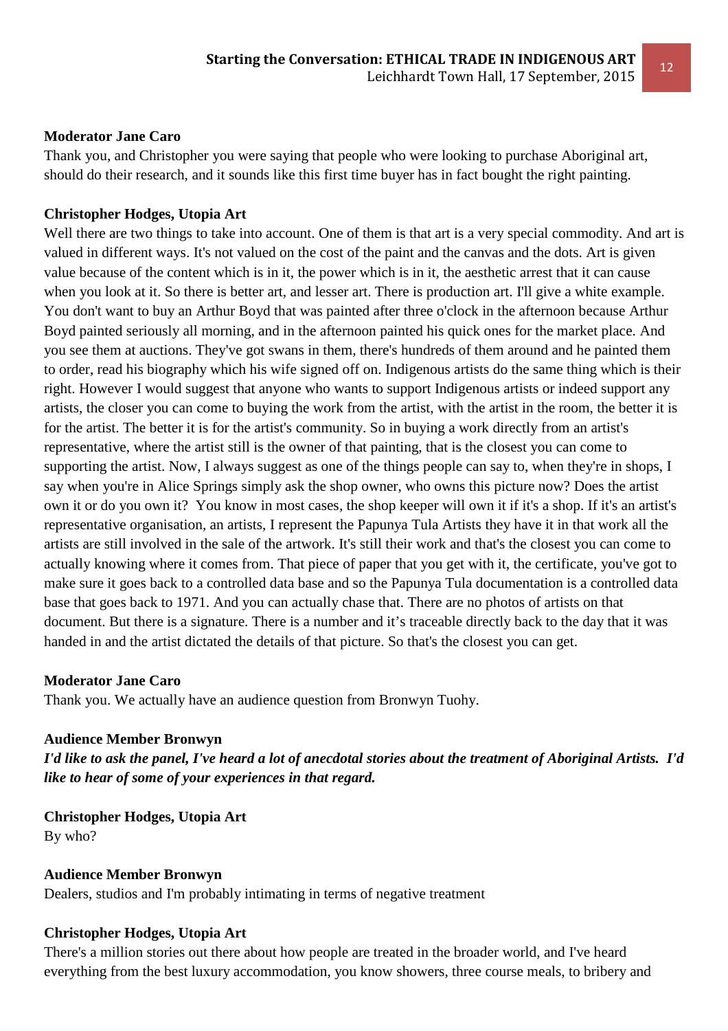#### **Moderator Jane Caro**

Thank you, and Christopher you were saying that people who were looking to purchase Aboriginal art, should do their research, and it sounds like this first time buyer has in fact bought the right painting.

#### **Christopher Hodges, Utopia Art**

Well there are two things to take into account. One of them is that art is a very special commodity. And art is valued in different ways. It's not valued on the cost of the paint and the canvas and the dots. Art is given value because of the content which is in it, the power which is in it, the aesthetic arrest that it can cause when you look at it. So there is better art, and lesser art. There is production art. I'll give a white example. You don't want to buy an Arthur Boyd that was painted after three o'clock in the afternoon because Arthur Boyd painted seriously all morning, and in the afternoon painted his quick ones for the market place. And you see them at auctions. They've got swans in them, there's hundreds of them around and he painted them to order, read his biography which his wife signed off on. Indigenous artists do the same thing which is their right. However I would suggest that anyone who wants to support Indigenous artists or indeed support any artists, the closer you can come to buying the work from the artist, with the artist in the room, the better it is for the artist. The better it is for the artist's community. So in buying a work directly from an artist's representative, where the artist still is the owner of that painting, that is the closest you can come to supporting the artist. Now, I always suggest as one of the things people can say to, when they're in shops, I say when you're in Alice Springs simply ask the shop owner, who owns this picture now? Does the artist own it or do you own it? You know in most cases, the shop keeper will own it if it's a shop. If it's an artist's representative organisation, an artists, I represent the Papunya Tula Artists they have it in that work all the artists are still involved in the sale of the artwork. It's still their work and that's the closest you can come to actually knowing where it comes from. That piece of paper that you get with it, the certificate, you've got to make sure it goes back to a controlled data base and so the Papunya Tula documentation is a controlled data base that goes back to 1971. And you can actually chase that. There are no photos of artists on that document. But there is a signature. There is a number and it's traceable directly back to the day that it was handed in and the artist dictated the details of that picture. So that's the closest you can get.

#### **Moderator Jane Caro**

Thank you. We actually have an audience question from Bronwyn Tuohy.

#### **Audience Member Bronwyn**

*I'd like to ask the panel, I've heard a lot of anecdotal stories about the treatment of Aboriginal Artists. I'd like to hear of some of your experiences in that regard.* 

**Christopher Hodges, Utopia Art**  By who?

#### **Audience Member Bronwyn**  Dealers, studios and I'm probably intimating in terms of negative treatment

#### **Christopher Hodges, Utopia Art**

There's a million stories out there about how people are treated in the broader world, and I've heard everything from the best luxury accommodation, you know showers, three course meals, to bribery and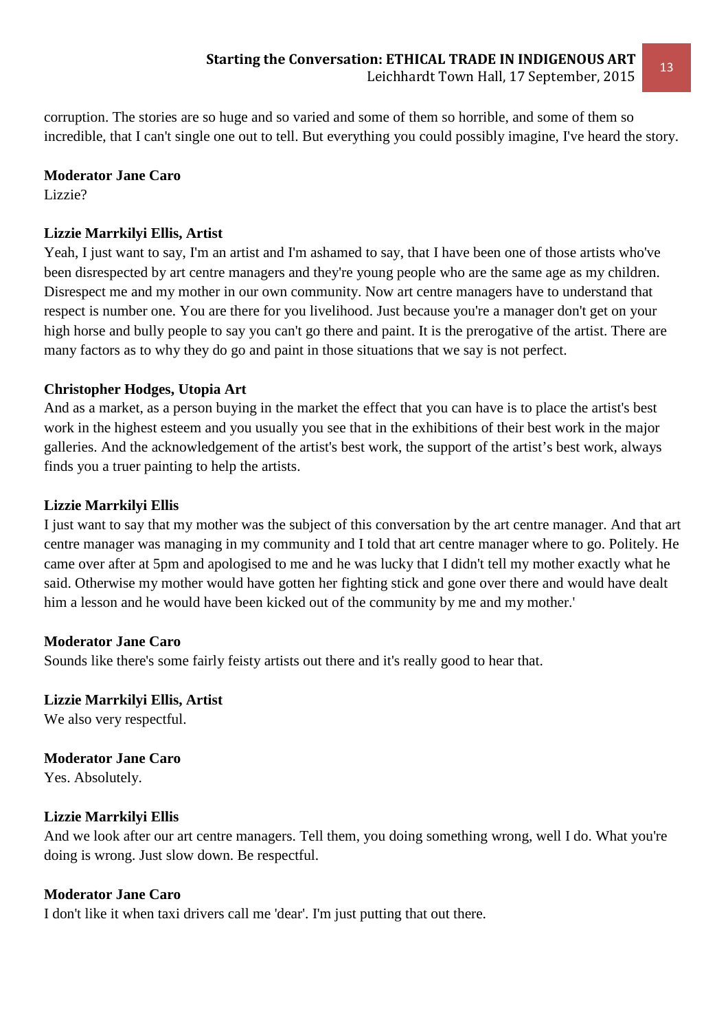corruption. The stories are so huge and so varied and some of them so horrible, and some of them so incredible, that I can't single one out to tell. But everything you could possibly imagine, I've heard the story.

## **Moderator Jane Caro**

Lizzie?

# **Lizzie Marrkilyi Ellis, Artist**

Yeah, I just want to say, I'm an artist and I'm ashamed to say, that I have been one of those artists who've been disrespected by art centre managers and they're young people who are the same age as my children. Disrespect me and my mother in our own community. Now art centre managers have to understand that respect is number one. You are there for you livelihood. Just because you're a manager don't get on your high horse and bully people to say you can't go there and paint. It is the prerogative of the artist. There are many factors as to why they do go and paint in those situations that we say is not perfect.

# **Christopher Hodges, Utopia Art**

And as a market, as a person buying in the market the effect that you can have is to place the artist's best work in the highest esteem and you usually you see that in the exhibitions of their best work in the major galleries. And the acknowledgement of the artist's best work, the support of the artist's best work, always finds you a truer painting to help the artists.

# **Lizzie Marrkilyi Ellis**

I just want to say that my mother was the subject of this conversation by the art centre manager. And that art centre manager was managing in my community and I told that art centre manager where to go. Politely. He came over after at 5pm and apologised to me and he was lucky that I didn't tell my mother exactly what he said. Otherwise my mother would have gotten her fighting stick and gone over there and would have dealt him a lesson and he would have been kicked out of the community by me and my mother.'

# **Moderator Jane Caro**

Sounds like there's some fairly feisty artists out there and it's really good to hear that.

# **Lizzie Marrkilyi Ellis, Artist**

We also very respectful.

# **Moderator Jane Caro**

Yes. Absolutely.

# **Lizzie Marrkilyi Ellis**

And we look after our art centre managers. Tell them, you doing something wrong, well I do. What you're doing is wrong. Just slow down. Be respectful.

# **Moderator Jane Caro**

I don't like it when taxi drivers call me 'dear'. I'm just putting that out there.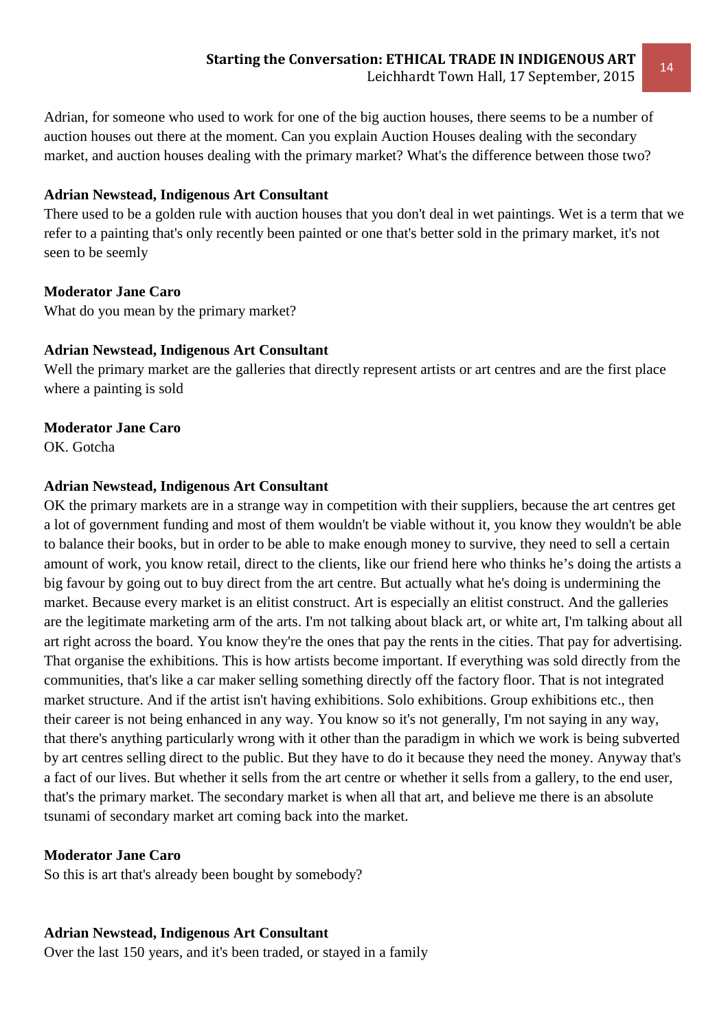Adrian, for someone who used to work for one of the big auction houses, there seems to be a number of auction houses out there at the moment. Can you explain Auction Houses dealing with the secondary market, and auction houses dealing with the primary market? What's the difference between those two?

## **Adrian Newstead, Indigenous Art Consultant**

There used to be a golden rule with auction houses that you don't deal in wet paintings. Wet is a term that we refer to a painting that's only recently been painted or one that's better sold in the primary market, it's not seen to be seemly

## **Moderator Jane Caro**

What do you mean by the primary market?

#### **Adrian Newstead, Indigenous Art Consultant**

Well the primary market are the galleries that directly represent artists or art centres and are the first place where a painting is sold

#### **Moderator Jane Caro**

OK. Gotcha

#### **Adrian Newstead, Indigenous Art Consultant**

OK the primary markets are in a strange way in competition with their suppliers, because the art centres get a lot of government funding and most of them wouldn't be viable without it, you know they wouldn't be able to balance their books, but in order to be able to make enough money to survive, they need to sell a certain amount of work, you know retail, direct to the clients, like our friend here who thinks he's doing the artists a big favour by going out to buy direct from the art centre. But actually what he's doing is undermining the market. Because every market is an elitist construct. Art is especially an elitist construct. And the galleries are the legitimate marketing arm of the arts. I'm not talking about black art, or white art, I'm talking about all art right across the board. You know they're the ones that pay the rents in the cities. That pay for advertising. That organise the exhibitions. This is how artists become important. If everything was sold directly from the communities, that's like a car maker selling something directly off the factory floor. That is not integrated market structure. And if the artist isn't having exhibitions. Solo exhibitions. Group exhibitions etc., then their career is not being enhanced in any way. You know so it's not generally, I'm not saying in any way, that there's anything particularly wrong with it other than the paradigm in which we work is being subverted by art centres selling direct to the public. But they have to do it because they need the money. Anyway that's a fact of our lives. But whether it sells from the art centre or whether it sells from a gallery, to the end user, that's the primary market. The secondary market is when all that art, and believe me there is an absolute tsunami of secondary market art coming back into the market.

#### **Moderator Jane Caro**

So this is art that's already been bought by somebody?

#### **Adrian Newstead, Indigenous Art Consultant**

Over the last 150 years, and it's been traded, or stayed in a family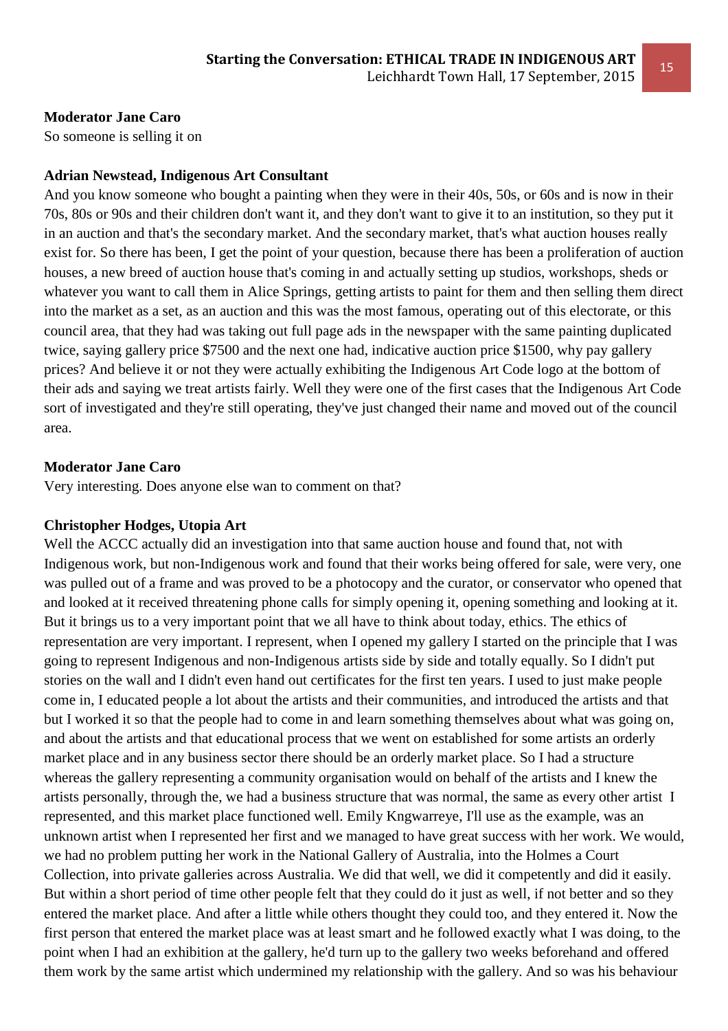## **Moderator Jane Caro**

So someone is selling it on

## **Adrian Newstead, Indigenous Art Consultant**

And you know someone who bought a painting when they were in their 40s, 50s, or 60s and is now in their 70s, 80s or 90s and their children don't want it, and they don't want to give it to an institution, so they put it in an auction and that's the secondary market. And the secondary market, that's what auction houses really exist for. So there has been, I get the point of your question, because there has been a proliferation of auction houses, a new breed of auction house that's coming in and actually setting up studios, workshops, sheds or whatever you want to call them in Alice Springs, getting artists to paint for them and then selling them direct into the market as a set, as an auction and this was the most famous, operating out of this electorate, or this council area, that they had was taking out full page ads in the newspaper with the same painting duplicated twice, saying gallery price \$7500 and the next one had, indicative auction price \$1500, why pay gallery prices? And believe it or not they were actually exhibiting the Indigenous Art Code logo at the bottom of their ads and saying we treat artists fairly. Well they were one of the first cases that the Indigenous Art Code sort of investigated and they're still operating, they've just changed their name and moved out of the council area.

## **Moderator Jane Caro**

Very interesting. Does anyone else wan to comment on that?

# **Christopher Hodges, Utopia Art**

Well the ACCC actually did an investigation into that same auction house and found that, not with Indigenous work, but non-Indigenous work and found that their works being offered for sale, were very, one was pulled out of a frame and was proved to be a photocopy and the curator, or conservator who opened that and looked at it received threatening phone calls for simply opening it, opening something and looking at it. But it brings us to a very important point that we all have to think about today, ethics. The ethics of representation are very important. I represent, when I opened my gallery I started on the principle that I was going to represent Indigenous and non-Indigenous artists side by side and totally equally. So I didn't put stories on the wall and I didn't even hand out certificates for the first ten years. I used to just make people come in, I educated people a lot about the artists and their communities, and introduced the artists and that but I worked it so that the people had to come in and learn something themselves about what was going on, and about the artists and that educational process that we went on established for some artists an orderly market place and in any business sector there should be an orderly market place. So I had a structure whereas the gallery representing a community organisation would on behalf of the artists and I knew the artists personally, through the, we had a business structure that was normal, the same as every other artist I represented, and this market place functioned well. Emily Kngwarreye, I'll use as the example, was an unknown artist when I represented her first and we managed to have great success with her work. We would, we had no problem putting her work in the National Gallery of Australia, into the Holmes a Court Collection, into private galleries across Australia. We did that well, we did it competently and did it easily. But within a short period of time other people felt that they could do it just as well, if not better and so they entered the market place. And after a little while others thought they could too, and they entered it. Now the first person that entered the market place was at least smart and he followed exactly what I was doing, to the point when I had an exhibition at the gallery, he'd turn up to the gallery two weeks beforehand and offered them work by the same artist which undermined my relationship with the gallery. And so was his behaviour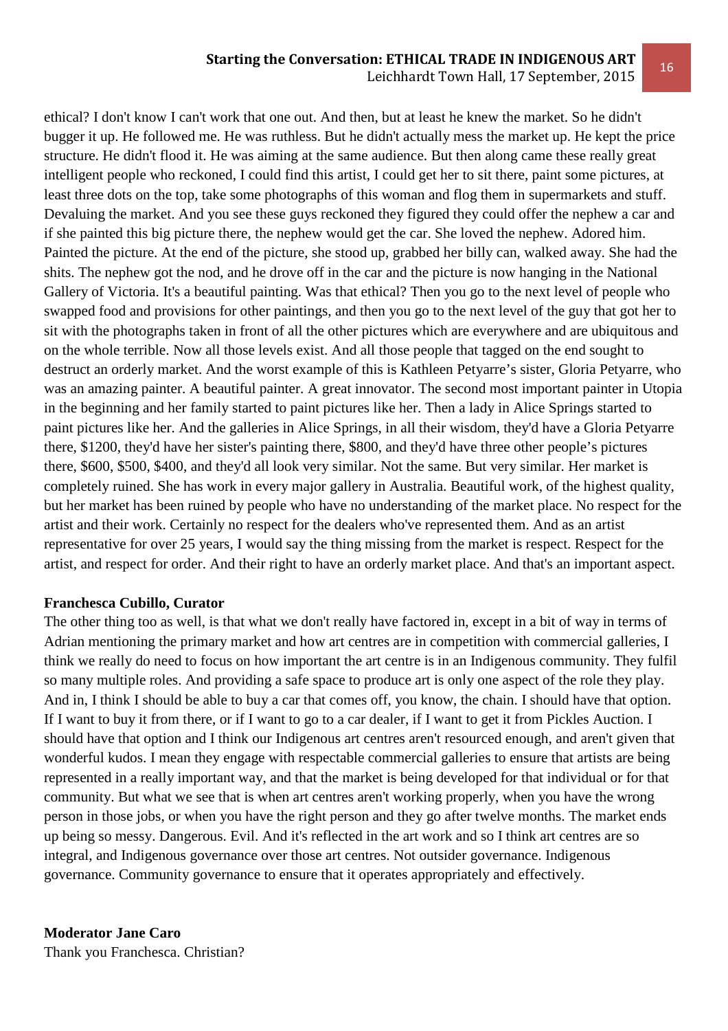#### **Starting the Conversation: ETHICAL TRADE IN INDIGENOUS ART**

Leichhardt Town Hall, 17 September, 2015

ethical? I don't know I can't work that one out. And then, but at least he knew the market. So he didn't bugger it up. He followed me. He was ruthless. But he didn't actually mess the market up. He kept the price structure. He didn't flood it. He was aiming at the same audience. But then along came these really great intelligent people who reckoned, I could find this artist, I could get her to sit there, paint some pictures, at least three dots on the top, take some photographs of this woman and flog them in supermarkets and stuff. Devaluing the market. And you see these guys reckoned they figured they could offer the nephew a car and if she painted this big picture there, the nephew would get the car. She loved the nephew. Adored him. Painted the picture. At the end of the picture, she stood up, grabbed her billy can, walked away. She had the shits. The nephew got the nod, and he drove off in the car and the picture is now hanging in the National Gallery of Victoria. It's a beautiful painting. Was that ethical? Then you go to the next level of people who swapped food and provisions for other paintings, and then you go to the next level of the guy that got her to sit with the photographs taken in front of all the other pictures which are everywhere and are ubiquitous and on the whole terrible. Now all those levels exist. And all those people that tagged on the end sought to destruct an orderly market. And the worst example of this is Kathleen Petyarre's sister, Gloria Petyarre, who was an amazing painter. A beautiful painter. A great innovator. The second most important painter in Utopia in the beginning and her family started to paint pictures like her. Then a lady in Alice Springs started to paint pictures like her. And the galleries in Alice Springs, in all their wisdom, they'd have a Gloria Petyarre there, \$1200, they'd have her sister's painting there, \$800, and they'd have three other people's pictures there, \$600, \$500, \$400, and they'd all look very similar. Not the same. But very similar. Her market is completely ruined. She has work in every major gallery in Australia. Beautiful work, of the highest quality, but her market has been ruined by people who have no understanding of the market place. No respect for the artist and their work. Certainly no respect for the dealers who've represented them. And as an artist representative for over 25 years, I would say the thing missing from the market is respect. Respect for the artist, and respect for order. And their right to have an orderly market place. And that's an important aspect.

#### **Franchesca Cubillo, Curator**

The other thing too as well, is that what we don't really have factored in, except in a bit of way in terms of Adrian mentioning the primary market and how art centres are in competition with commercial galleries, I think we really do need to focus on how important the art centre is in an Indigenous community. They fulfil so many multiple roles. And providing a safe space to produce art is only one aspect of the role they play. And in, I think I should be able to buy a car that comes off, you know, the chain. I should have that option. If I want to buy it from there, or if I want to go to a car dealer, if I want to get it from Pickles Auction. I should have that option and I think our Indigenous art centres aren't resourced enough, and aren't given that wonderful kudos. I mean they engage with respectable commercial galleries to ensure that artists are being represented in a really important way, and that the market is being developed for that individual or for that community. But what we see that is when art centres aren't working properly, when you have the wrong person in those jobs, or when you have the right person and they go after twelve months. The market ends up being so messy. Dangerous. Evil. And it's reflected in the art work and so I think art centres are so integral, and Indigenous governance over those art centres. Not outsider governance. Indigenous governance. Community governance to ensure that it operates appropriately and effectively.

**Moderator Jane Caro**  Thank you Franchesca. Christian?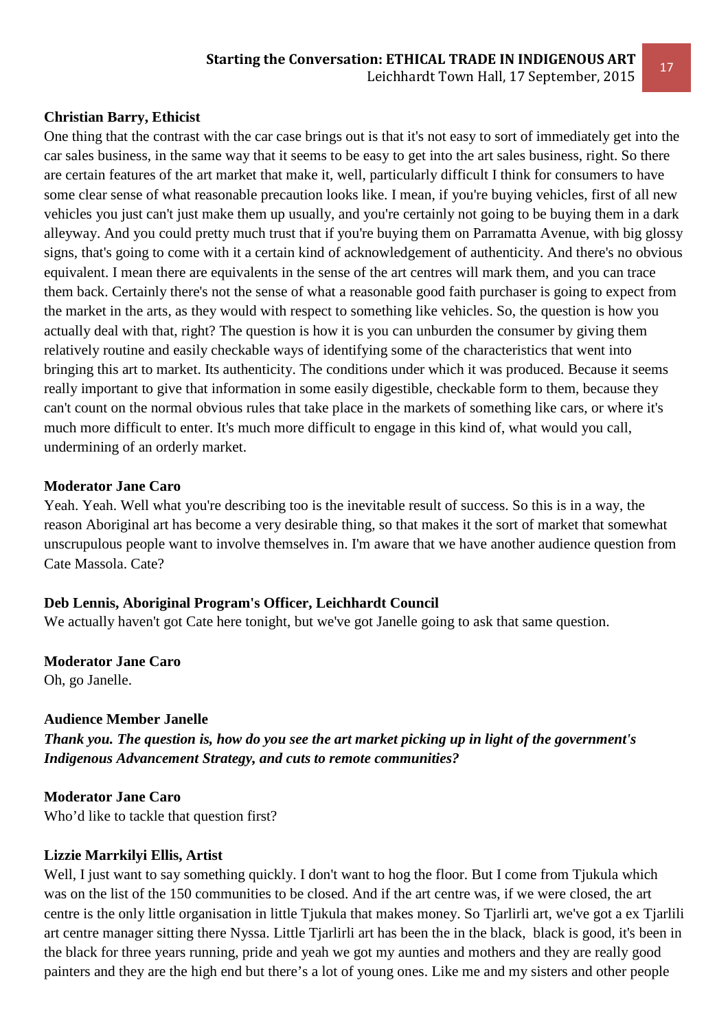#### **Christian Barry, Ethicist**

One thing that the contrast with the car case brings out is that it's not easy to sort of immediately get into the car sales business, in the same way that it seems to be easy to get into the art sales business, right. So there are certain features of the art market that make it, well, particularly difficult I think for consumers to have some clear sense of what reasonable precaution looks like. I mean, if you're buying vehicles, first of all new vehicles you just can't just make them up usually, and you're certainly not going to be buying them in a dark alleyway. And you could pretty much trust that if you're buying them on Parramatta Avenue, with big glossy signs, that's going to come with it a certain kind of acknowledgement of authenticity. And there's no obvious equivalent. I mean there are equivalents in the sense of the art centres will mark them, and you can trace them back. Certainly there's not the sense of what a reasonable good faith purchaser is going to expect from the market in the arts, as they would with respect to something like vehicles. So, the question is how you actually deal with that, right? The question is how it is you can unburden the consumer by giving them relatively routine and easily checkable ways of identifying some of the characteristics that went into bringing this art to market. Its authenticity. The conditions under which it was produced. Because it seems really important to give that information in some easily digestible, checkable form to them, because they can't count on the normal obvious rules that take place in the markets of something like cars, or where it's much more difficult to enter. It's much more difficult to engage in this kind of, what would you call, undermining of an orderly market.

#### **Moderator Jane Caro**

Yeah. Yeah. Well what you're describing too is the inevitable result of success. So this is in a way, the reason Aboriginal art has become a very desirable thing, so that makes it the sort of market that somewhat unscrupulous people want to involve themselves in. I'm aware that we have another audience question from Cate Massola. Cate?

#### **Deb Lennis, Aboriginal Program's Officer, Leichhardt Council**

We actually haven't got Cate here tonight, but we've got Janelle going to ask that same question.

**Moderator Jane Caro** 

Oh, go Janelle.

#### **Audience Member Janelle**

*Thank you. The question is, how do you see the art market picking up in light of the government's Indigenous Advancement Strategy, and cuts to remote communities?* 

# **Moderator Jane Caro**

Who'd like to tackle that question first?

#### **Lizzie Marrkilyi Ellis, Artist**

Well, I just want to say something quickly. I don't want to hog the floor. But I come from Tjukula which was on the list of the 150 communities to be closed. And if the art centre was, if we were closed, the art centre is the only little organisation in little Tjukula that makes money. So Tjarlirli art, we've got a ex Tjarlili art centre manager sitting there Nyssa. Little Tjarlirli art has been the in the black, black is good, it's been in the black for three years running, pride and yeah we got my aunties and mothers and they are really good painters and they are the high end but there's a lot of young ones. Like me and my sisters and other people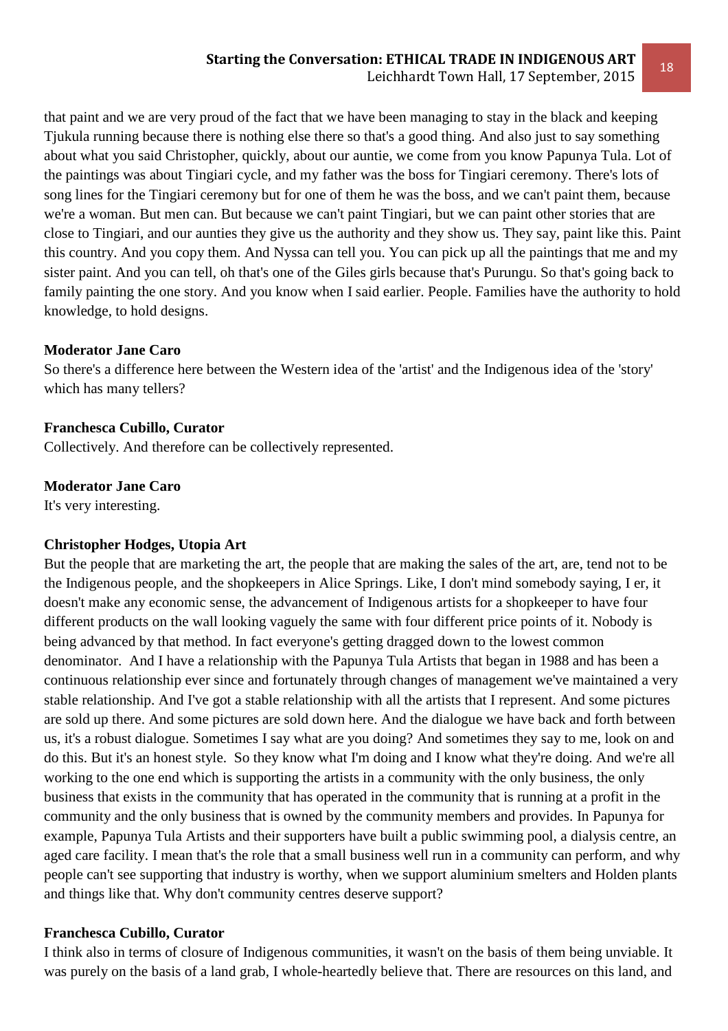that paint and we are very proud of the fact that we have been managing to stay in the black and keeping Tjukula running because there is nothing else there so that's a good thing. And also just to say something about what you said Christopher, quickly, about our auntie, we come from you know Papunya Tula. Lot of the paintings was about Tingiari cycle, and my father was the boss for Tingiari ceremony. There's lots of song lines for the Tingiari ceremony but for one of them he was the boss, and we can't paint them, because we're a woman. But men can. But because we can't paint Tingiari, but we can paint other stories that are close to Tingiari, and our aunties they give us the authority and they show us. They say, paint like this. Paint this country. And you copy them. And Nyssa can tell you. You can pick up all the paintings that me and my sister paint. And you can tell, oh that's one of the Giles girls because that's Purungu. So that's going back to family painting the one story. And you know when I said earlier. People. Families have the authority to hold knowledge, to hold designs.

## **Moderator Jane Caro**

So there's a difference here between the Western idea of the 'artist' and the Indigenous idea of the 'story' which has many tellers?

## **Franchesca Cubillo, Curator**

Collectively. And therefore can be collectively represented.

## **Moderator Jane Caro**

It's very interesting.

# **Christopher Hodges, Utopia Art**

But the people that are marketing the art, the people that are making the sales of the art, are, tend not to be the Indigenous people, and the shopkeepers in Alice Springs. Like, I don't mind somebody saying, I er, it doesn't make any economic sense, the advancement of Indigenous artists for a shopkeeper to have four different products on the wall looking vaguely the same with four different price points of it. Nobody is being advanced by that method. In fact everyone's getting dragged down to the lowest common denominator. And I have a relationship with the Papunya Tula Artists that began in 1988 and has been a continuous relationship ever since and fortunately through changes of management we've maintained a very stable relationship. And I've got a stable relationship with all the artists that I represent. And some pictures are sold up there. And some pictures are sold down here. And the dialogue we have back and forth between us, it's a robust dialogue. Sometimes I say what are you doing? And sometimes they say to me, look on and do this. But it's an honest style. So they know what I'm doing and I know what they're doing. And we're all working to the one end which is supporting the artists in a community with the only business, the only business that exists in the community that has operated in the community that is running at a profit in the community and the only business that is owned by the community members and provides. In Papunya for example, Papunya Tula Artists and their supporters have built a public swimming pool, a dialysis centre, an aged care facility. I mean that's the role that a small business well run in a community can perform, and why people can't see supporting that industry is worthy, when we support aluminium smelters and Holden plants and things like that. Why don't community centres deserve support?

## **Franchesca Cubillo, Curator**

I think also in terms of closure of Indigenous communities, it wasn't on the basis of them being unviable. It was purely on the basis of a land grab, I whole-heartedly believe that. There are resources on this land, and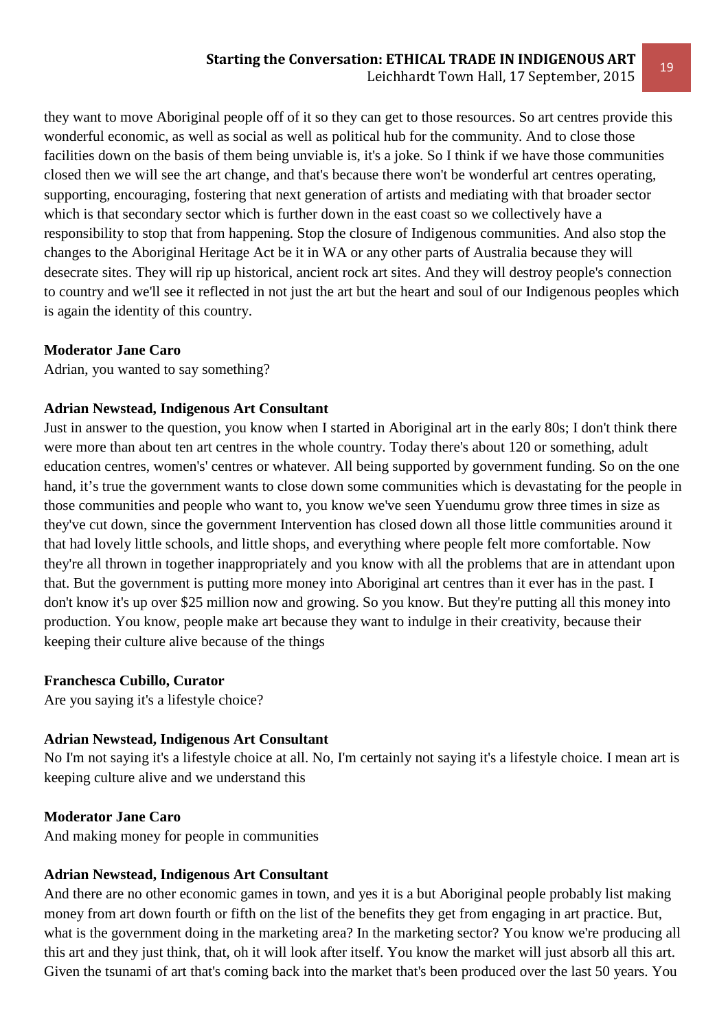they want to move Aboriginal people off of it so they can get to those resources. So art centres provide this wonderful economic, as well as social as well as political hub for the community. And to close those facilities down on the basis of them being unviable is, it's a joke. So I think if we have those communities closed then we will see the art change, and that's because there won't be wonderful art centres operating, supporting, encouraging, fostering that next generation of artists and mediating with that broader sector which is that secondary sector which is further down in the east coast so we collectively have a responsibility to stop that from happening. Stop the closure of Indigenous communities. And also stop the changes to the Aboriginal Heritage Act be it in WA or any other parts of Australia because they will desecrate sites. They will rip up historical, ancient rock art sites. And they will destroy people's connection to country and we'll see it reflected in not just the art but the heart and soul of our Indigenous peoples which is again the identity of this country.

#### **Moderator Jane Caro**

Adrian, you wanted to say something?

#### **Adrian Newstead, Indigenous Art Consultant**

Just in answer to the question, you know when I started in Aboriginal art in the early 80s; I don't think there were more than about ten art centres in the whole country. Today there's about 120 or something, adult education centres, women's' centres or whatever. All being supported by government funding. So on the one hand, it's true the government wants to close down some communities which is devastating for the people in those communities and people who want to, you know we've seen Yuendumu grow three times in size as they've cut down, since the government Intervention has closed down all those little communities around it that had lovely little schools, and little shops, and everything where people felt more comfortable. Now they're all thrown in together inappropriately and you know with all the problems that are in attendant upon that. But the government is putting more money into Aboriginal art centres than it ever has in the past. I don't know it's up over \$25 million now and growing. So you know. But they're putting all this money into production. You know, people make art because they want to indulge in their creativity, because their keeping their culture alive because of the things

#### **Franchesca Cubillo, Curator**

Are you saying it's a lifestyle choice?

#### **Adrian Newstead, Indigenous Art Consultant**

No I'm not saying it's a lifestyle choice at all. No, I'm certainly not saying it's a lifestyle choice. I mean art is keeping culture alive and we understand this

#### **Moderator Jane Caro**

And making money for people in communities

#### **Adrian Newstead, Indigenous Art Consultant**

And there are no other economic games in town, and yes it is a but Aboriginal people probably list making money from art down fourth or fifth on the list of the benefits they get from engaging in art practice. But, what is the government doing in the marketing area? In the marketing sector? You know we're producing all this art and they just think, that, oh it will look after itself. You know the market will just absorb all this art. Given the tsunami of art that's coming back into the market that's been produced over the last 50 years. You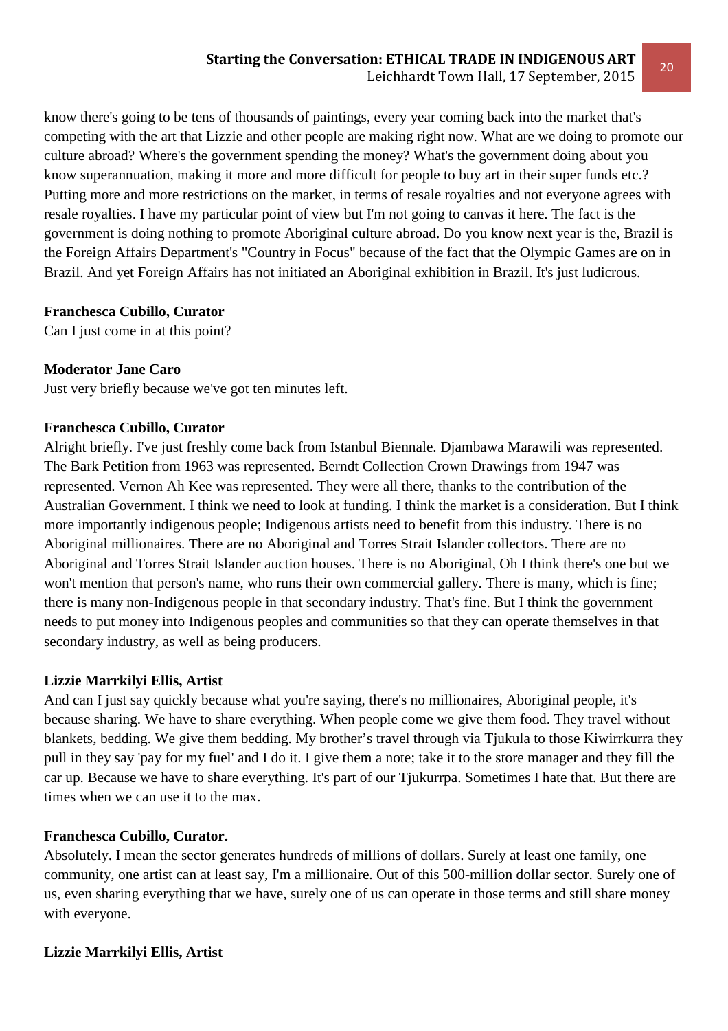know there's going to be tens of thousands of paintings, every year coming back into the market that's competing with the art that Lizzie and other people are making right now. What are we doing to promote our culture abroad? Where's the government spending the money? What's the government doing about you know superannuation, making it more and more difficult for people to buy art in their super funds etc.? Putting more and more restrictions on the market, in terms of resale royalties and not everyone agrees with resale royalties. I have my particular point of view but I'm not going to canvas it here. The fact is the government is doing nothing to promote Aboriginal culture abroad. Do you know next year is the, Brazil is the Foreign Affairs Department's "Country in Focus" because of the fact that the Olympic Games are on in Brazil. And yet Foreign Affairs has not initiated an Aboriginal exhibition in Brazil. It's just ludicrous.

## **Franchesca Cubillo, Curator**

Can I just come in at this point?

# **Moderator Jane Caro**

Just very briefly because we've got ten minutes left.

## **Franchesca Cubillo, Curator**

Alright briefly. I've just freshly come back from Istanbul Biennale. Djambawa Marawili was represented. The Bark Petition from 1963 was represented. Berndt Collection Crown Drawings from 1947 was represented. Vernon Ah Kee was represented. They were all there, thanks to the contribution of the Australian Government. I think we need to look at funding. I think the market is a consideration. But I think more importantly indigenous people; Indigenous artists need to benefit from this industry. There is no Aboriginal millionaires. There are no Aboriginal and Torres Strait Islander collectors. There are no Aboriginal and Torres Strait Islander auction houses. There is no Aboriginal, Oh I think there's one but we won't mention that person's name, who runs their own commercial gallery. There is many, which is fine; there is many non-Indigenous people in that secondary industry. That's fine. But I think the government needs to put money into Indigenous peoples and communities so that they can operate themselves in that secondary industry, as well as being producers.

# **Lizzie Marrkilyi Ellis, Artist**

And can I just say quickly because what you're saying, there's no millionaires, Aboriginal people, it's because sharing. We have to share everything. When people come we give them food. They travel without blankets, bedding. We give them bedding. My brother's travel through via Tjukula to those Kiwirrkurra they pull in they say 'pay for my fuel' and I do it. I give them a note; take it to the store manager and they fill the car up. Because we have to share everything. It's part of our Tjukurrpa. Sometimes I hate that. But there are times when we can use it to the max.

# **Franchesca Cubillo, Curator.**

Absolutely. I mean the sector generates hundreds of millions of dollars. Surely at least one family, one community, one artist can at least say, I'm a millionaire. Out of this 500-million dollar sector. Surely one of us, even sharing everything that we have, surely one of us can operate in those terms and still share money with everyone.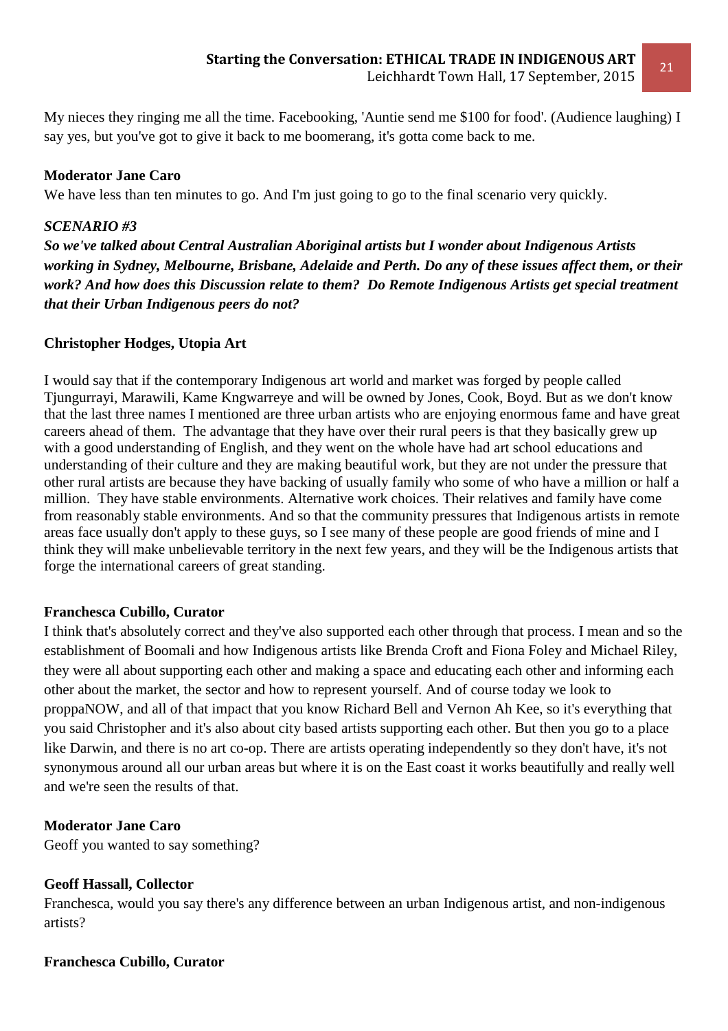My nieces they ringing me all the time. Facebooking, 'Auntie send me \$100 for food'. (Audience laughing) I say yes, but you've got to give it back to me boomerang, it's gotta come back to me.

#### **Moderator Jane Caro**

We have less than ten minutes to go. And I'm just going to go to the final scenario very quickly.

#### *SCENARIO #3*

*So we've talked about Central Australian Aboriginal artists but I wonder about Indigenous Artists working in Sydney, Melbourne, Brisbane, Adelaide and Perth. Do any of these issues affect them, or their work? And how does this Discussion relate to them? Do Remote Indigenous Artists get special treatment that their Urban Indigenous peers do not?* 

#### **Christopher Hodges, Utopia Art**

I would say that if the contemporary Indigenous art world and market was forged by people called Tjungurrayi, Marawili, Kame Kngwarreye and will be owned by Jones, Cook, Boyd. But as we don't know that the last three names I mentioned are three urban artists who are enjoying enormous fame and have great careers ahead of them. The advantage that they have over their rural peers is that they basically grew up with a good understanding of English, and they went on the whole have had art school educations and understanding of their culture and they are making beautiful work, but they are not under the pressure that other rural artists are because they have backing of usually family who some of who have a million or half a million. They have stable environments. Alternative work choices. Their relatives and family have come from reasonably stable environments. And so that the community pressures that Indigenous artists in remote areas face usually don't apply to these guys, so I see many of these people are good friends of mine and I think they will make unbelievable territory in the next few years, and they will be the Indigenous artists that forge the international careers of great standing.

#### **Franchesca Cubillo, Curator**

I think that's absolutely correct and they've also supported each other through that process. I mean and so the establishment of Boomali and how Indigenous artists like Brenda Croft and Fiona Foley and Michael Riley, they were all about supporting each other and making a space and educating each other and informing each other about the market, the sector and how to represent yourself. And of course today we look to proppaNOW, and all of that impact that you know Richard Bell and Vernon Ah Kee, so it's everything that you said Christopher and it's also about city based artists supporting each other. But then you go to a place like Darwin, and there is no art co-op. There are artists operating independently so they don't have, it's not synonymous around all our urban areas but where it is on the East coast it works beautifully and really well and we're seen the results of that.

#### **Moderator Jane Caro**

Geoff you wanted to say something?

#### **Geoff Hassall, Collector**

Franchesca, would you say there's any difference between an urban Indigenous artist, and non-indigenous artists?

#### **Franchesca Cubillo, Curator**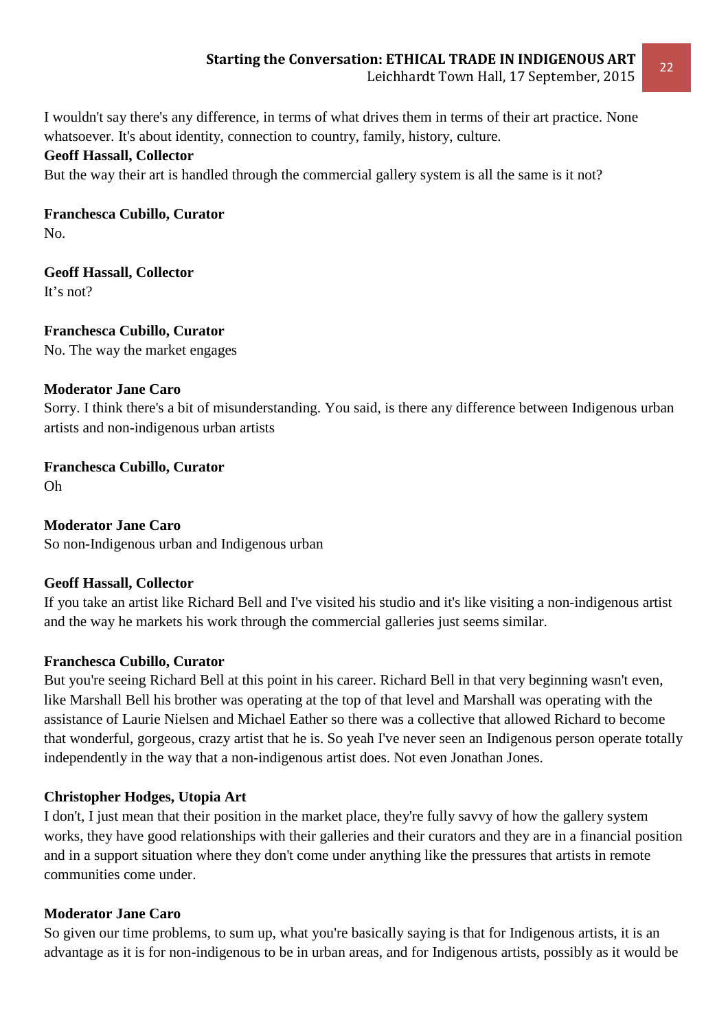I wouldn't say there's any difference, in terms of what drives them in terms of their art practice. None whatsoever. It's about identity, connection to country, family, history, culture.

## **Geoff Hassall, Collector**

But the way their art is handled through the commercial gallery system is all the same is it not?

**Franchesca Cubillo, Curator**  No.

**Geoff Hassall, Collector** 

It's not?

**Franchesca Cubillo, Curator**  No. The way the market engages

#### **Moderator Jane Caro**

Sorry. I think there's a bit of misunderstanding. You said, is there any difference between Indigenous urban artists and non-indigenous urban artists

**Franchesca Cubillo, Curator**  Oh

**Moderator Jane Caro**  So non-Indigenous urban and Indigenous urban

#### **Geoff Hassall, Collector**

If you take an artist like Richard Bell and I've visited his studio and it's like visiting a non-indigenous artist and the way he markets his work through the commercial galleries just seems similar.

#### **Franchesca Cubillo, Curator**

But you're seeing Richard Bell at this point in his career. Richard Bell in that very beginning wasn't even, like Marshall Bell his brother was operating at the top of that level and Marshall was operating with the assistance of Laurie Nielsen and Michael Eather so there was a collective that allowed Richard to become that wonderful, gorgeous, crazy artist that he is. So yeah I've never seen an Indigenous person operate totally independently in the way that a non-indigenous artist does. Not even Jonathan Jones.

#### **Christopher Hodges, Utopia Art**

I don't, I just mean that their position in the market place, they're fully savvy of how the gallery system works, they have good relationships with their galleries and their curators and they are in a financial position and in a support situation where they don't come under anything like the pressures that artists in remote communities come under.

#### **Moderator Jane Caro**

So given our time problems, to sum up, what you're basically saying is that for Indigenous artists, it is an advantage as it is for non-indigenous to be in urban areas, and for Indigenous artists, possibly as it would be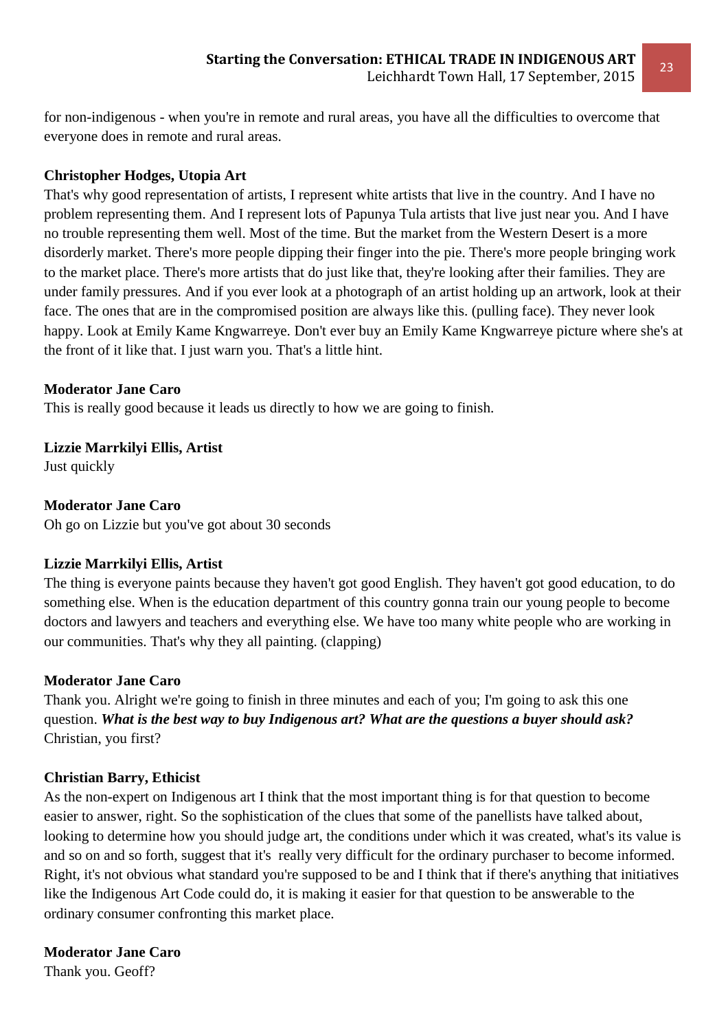for non-indigenous - when you're in remote and rural areas, you have all the difficulties to overcome that everyone does in remote and rural areas.

# **Christopher Hodges, Utopia Art**

That's why good representation of artists, I represent white artists that live in the country. And I have no problem representing them. And I represent lots of Papunya Tula artists that live just near you. And I have no trouble representing them well. Most of the time. But the market from the Western Desert is a more disorderly market. There's more people dipping their finger into the pie. There's more people bringing work to the market place. There's more artists that do just like that, they're looking after their families. They are under family pressures. And if you ever look at a photograph of an artist holding up an artwork, look at their face. The ones that are in the compromised position are always like this. (pulling face). They never look happy. Look at Emily Kame Kngwarreye. Don't ever buy an Emily Kame Kngwarreye picture where she's at the front of it like that. I just warn you. That's a little hint.

#### **Moderator Jane Caro**

This is really good because it leads us directly to how we are going to finish.

**Lizzie Marrkilyi Ellis, Artist**  Just quickly

#### **Moderator Jane Caro**

Oh go on Lizzie but you've got about 30 seconds

#### **Lizzie Marrkilyi Ellis, Artist**

The thing is everyone paints because they haven't got good English. They haven't got good education, to do something else. When is the education department of this country gonna train our young people to become doctors and lawyers and teachers and everything else. We have too many white people who are working in our communities. That's why they all painting. (clapping)

#### **Moderator Jane Caro**

Thank you. Alright we're going to finish in three minutes and each of you; I'm going to ask this one question. *What is the best way to buy Indigenous art? What are the questions a buyer should ask?*  Christian, you first?

#### **Christian Barry, Ethicist**

As the non-expert on Indigenous art I think that the most important thing is for that question to become easier to answer, right. So the sophistication of the clues that some of the panellists have talked about, looking to determine how you should judge art, the conditions under which it was created, what's its value is and so on and so forth, suggest that it's really very difficult for the ordinary purchaser to become informed. Right, it's not obvious what standard you're supposed to be and I think that if there's anything that initiatives like the Indigenous Art Code could do, it is making it easier for that question to be answerable to the ordinary consumer confronting this market place.

#### **Moderator Jane Caro**

Thank you. Geoff?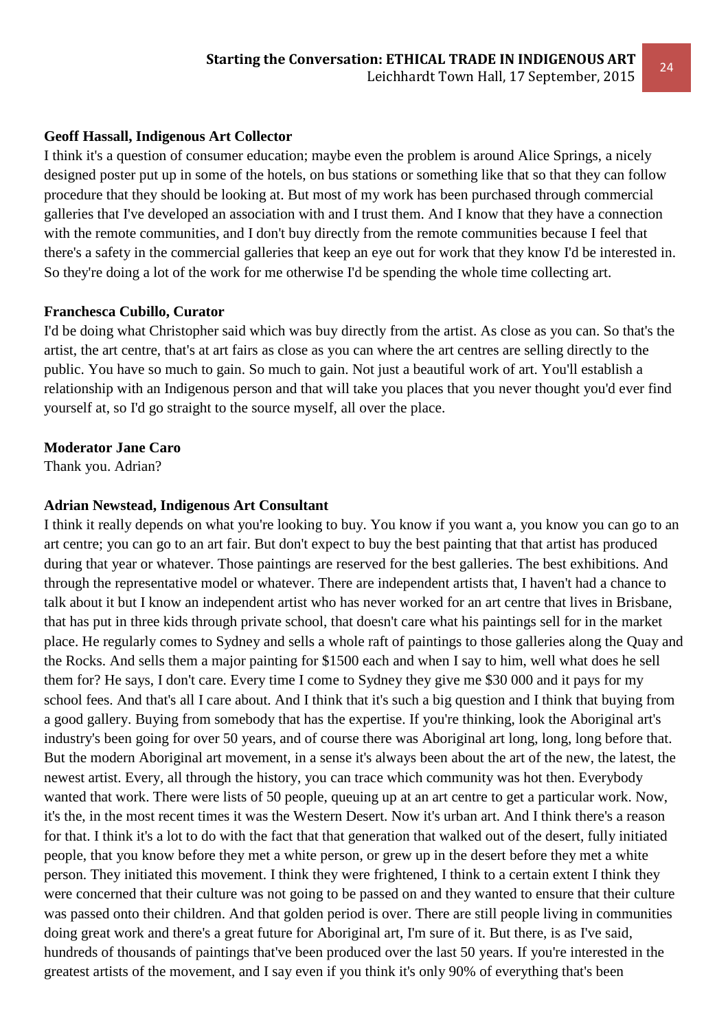#### **Geoff Hassall, Indigenous Art Collector**

I think it's a question of consumer education; maybe even the problem is around Alice Springs, a nicely designed poster put up in some of the hotels, on bus stations or something like that so that they can follow procedure that they should be looking at. But most of my work has been purchased through commercial galleries that I've developed an association with and I trust them. And I know that they have a connection with the remote communities, and I don't buy directly from the remote communities because I feel that there's a safety in the commercial galleries that keep an eye out for work that they know I'd be interested in. So they're doing a lot of the work for me otherwise I'd be spending the whole time collecting art.

#### **Franchesca Cubillo, Curator**

I'd be doing what Christopher said which was buy directly from the artist. As close as you can. So that's the artist, the art centre, that's at art fairs as close as you can where the art centres are selling directly to the public. You have so much to gain. So much to gain. Not just a beautiful work of art. You'll establish a relationship with an Indigenous person and that will take you places that you never thought you'd ever find yourself at, so I'd go straight to the source myself, all over the place.

#### **Moderator Jane Caro**

Thank you. Adrian?

#### **Adrian Newstead, Indigenous Art Consultant**

I think it really depends on what you're looking to buy. You know if you want a, you know you can go to an art centre; you can go to an art fair. But don't expect to buy the best painting that that artist has produced during that year or whatever. Those paintings are reserved for the best galleries. The best exhibitions. And through the representative model or whatever. There are independent artists that, I haven't had a chance to talk about it but I know an independent artist who has never worked for an art centre that lives in Brisbane, that has put in three kids through private school, that doesn't care what his paintings sell for in the market place. He regularly comes to Sydney and sells a whole raft of paintings to those galleries along the Quay and the Rocks. And sells them a major painting for \$1500 each and when I say to him, well what does he sell them for? He says, I don't care. Every time I come to Sydney they give me \$30 000 and it pays for my school fees. And that's all I care about. And I think that it's such a big question and I think that buying from a good gallery. Buying from somebody that has the expertise. If you're thinking, look the Aboriginal art's industry's been going for over 50 years, and of course there was Aboriginal art long, long, long before that. But the modern Aboriginal art movement, in a sense it's always been about the art of the new, the latest, the newest artist. Every, all through the history, you can trace which community was hot then. Everybody wanted that work. There were lists of 50 people, queuing up at an art centre to get a particular work. Now, it's the, in the most recent times it was the Western Desert. Now it's urban art. And I think there's a reason for that. I think it's a lot to do with the fact that that generation that walked out of the desert, fully initiated people, that you know before they met a white person, or grew up in the desert before they met a white person. They initiated this movement. I think they were frightened, I think to a certain extent I think they were concerned that their culture was not going to be passed on and they wanted to ensure that their culture was passed onto their children. And that golden period is over. There are still people living in communities doing great work and there's a great future for Aboriginal art, I'm sure of it. But there, is as I've said, hundreds of thousands of paintings that've been produced over the last 50 years. If you're interested in the greatest artists of the movement, and I say even if you think it's only 90% of everything that's been